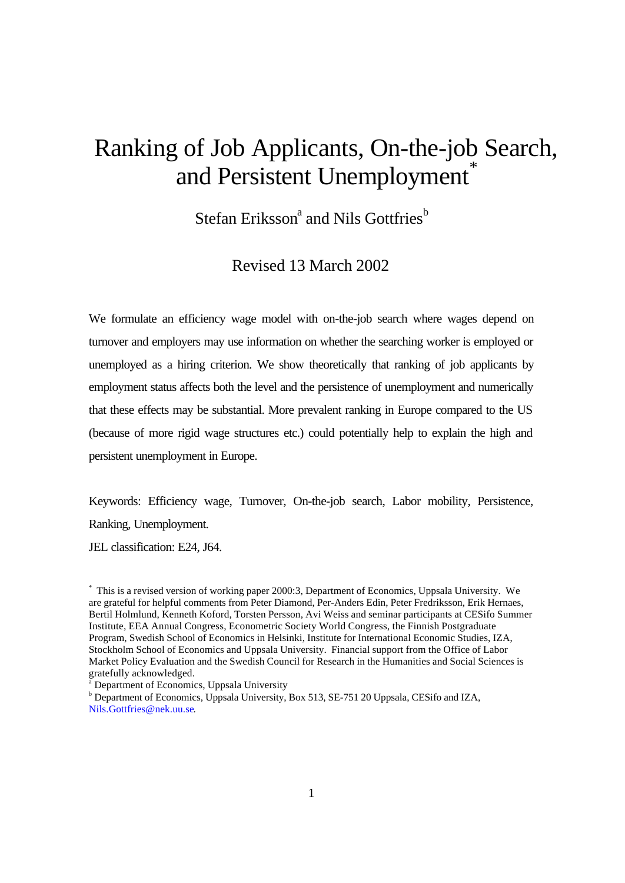# Ranking of Job Applicants, On-the-job Search, and Persistent Unemployment<sup>®</sup>

Stefan Eriksson<sup>a</sup> and Nils Gottfries<sup>b</sup>

# Revised 13 March 2002

We formulate an efficiency wage model with on-the-job search where wages depend on turnover and employers may use information on whether the searching worker is employed or unemployed as a hiring criterion. We show theoretically that ranking of job applicants by employment status affects both the level and the persistence of unemployment and numerically that these effects may be substantial. More prevalent ranking in Europe compared to the US (because of more rigid wage structures etc.) could potentially help to explain the high and persistent unemployment in Europe.

Keywords: Efficiency wage, Turnover, On-the-job search, Labor mobility, Persistence, Ranking, Unemployment.

JEL classification: E24, J64.

\* This is a revised version of working paper 2000:3, Department of Economics, Uppsala University. We are grateful for helpful comments from Peter Diamond, Per-Anders Edin, Peter Fredriksson, Erik Hernaes, Bertil Holmlund, Kenneth Koford, Torsten Persson, Avi Weiss and seminar participants at CESifo Summer Institute, EEA Annual Congress, Econometric Society World Congress, the Finnish Postgraduate Program, Swedish School of Economics in Helsinki, Institute for International Economic Studies, IZA, Stockholm School of Economics and Uppsala University. Financial support from the Office of Labor Market Policy Evaluation and the Swedish Council for Research in the Humanities and Social Sciences is gratefully acknowledged.

<sup>a</sup> Department of Economics, Uppsala University

<sup>b</sup> Department of Economics, Uppsala University, Box 513, SE-751 20 Uppsala, CESifo and IZA, Nils.Gottfries@nek.uu.se.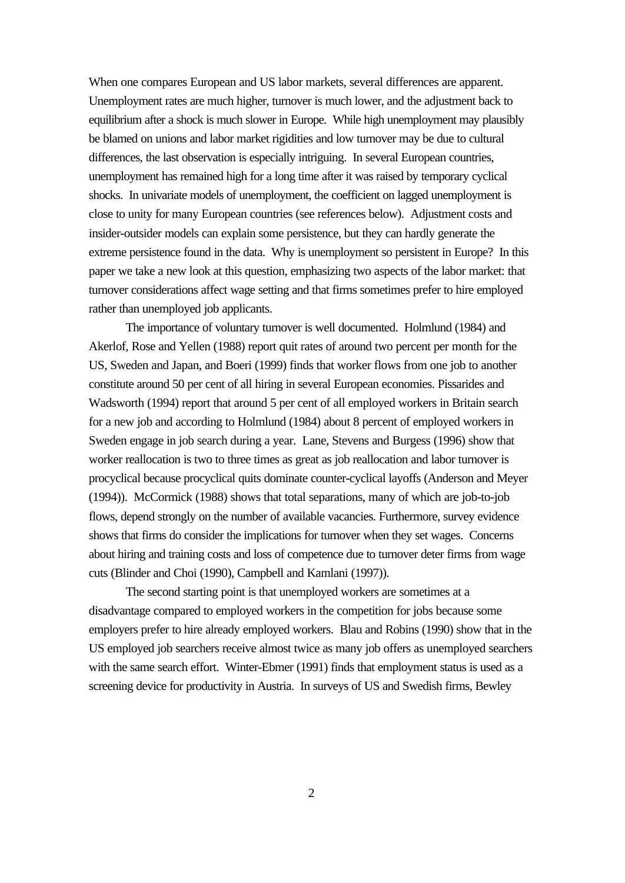When one compares European and US labor markets, several differences are apparent. Unemployment rates are much higher, turnover is much lower, and the adjustment back to equilibrium after a shock is much slower in Europe. While high unemployment may plausibly be blamed on unions and labor market rigidities and low turnover may be due to cultural differences, the last observation is especially intriguing. In several European countries, unemployment has remained high for a long time after it was raised by temporary cyclical shocks. In univariate models of unemployment, the coefficient on lagged unemployment is close to unity for many European countries (see references below). Adjustment costs and insider-outsider models can explain some persistence, but they can hardly generate the extreme persistence found in the data. Why is unemployment so persistent in Europe? In this paper we take a new look at this question, emphasizing two aspects of the labor market: that turnover considerations affect wage setting and that firms sometimes prefer to hire employed rather than unemployed job applicants.

The importance of voluntary turnover is well documented. Holmlund (1984) and Akerlof, Rose and Yellen (1988) report quit rates of around two percent per month for the US, Sweden and Japan, and Boeri (1999) finds that worker flows from one job to another constitute around 50 per cent of all hiring in several European economies. Pissarides and Wadsworth (1994) report that around 5 per cent of all employed workers in Britain search for a new job and according to Holmlund (1984) about 8 percent of employed workers in Sweden engage in job search during a year. Lane, Stevens and Burgess (1996) show that worker reallocation is two to three times as great as job reallocation and labor turnover is procyclical because procyclical quits dominate counter-cyclical layoffs (Anderson and Meyer (1994)). McCormick (1988) shows that total separations, many of which are job-to-job flows, depend strongly on the number of available vacancies. Furthermore, survey evidence shows that firms do consider the implications for turnover when they set wages. Concerns about hiring and training costs and loss of competence due to turnover deter firms from wage cuts (Blinder and Choi (1990), Campbell and Kamlani (1997)).

The second starting point is that unemployed workers are sometimes at a disadvantage compared to employed workers in the competition for jobs because some employers prefer to hire already employed workers. Blau and Robins (1990) show that in the US employed job searchers receive almost twice as many job offers as unemployed searchers with the same search effort. Winter-Ebmer (1991) finds that employment status is used as a screening device for productivity in Austria. In surveys of US and Swedish firms, Bewley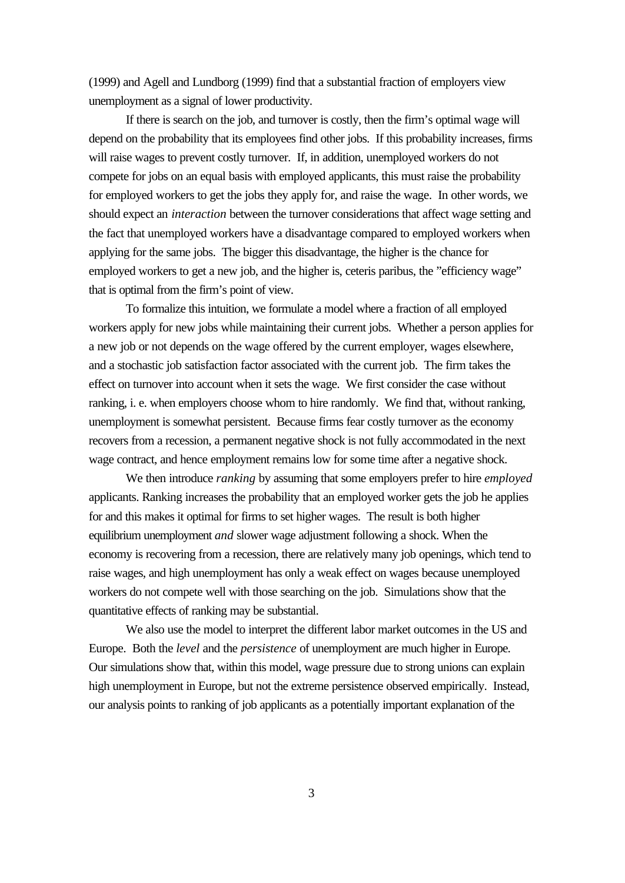(1999) and Agell and Lundborg (1999) find that a substantial fraction of employers view unemployment as a signal of lower productivity.

If there is search on the job, and turnover is costly, then the firm's optimal wage will depend on the probability that its employees find other jobs. If this probability increases, firms will raise wages to prevent costly turnover. If, in addition, unemployed workers do not compete for jobs on an equal basis with employed applicants, this must raise the probability for employed workers to get the jobs they apply for, and raise the wage. In other words, we should expect an *interaction* between the turnover considerations that affect wage setting and the fact that unemployed workers have a disadvantage compared to employed workers when applying for the same jobs. The bigger this disadvantage, the higher is the chance for employed workers to get a new job, and the higher is, ceteris paribus, the "efficiency wage" that is optimal from the firm's point of view.

To formalize this intuition, we formulate a model where a fraction of all employed workers apply for new jobs while maintaining their current jobs. Whether a person applies for a new job or not depends on the wage offered by the current employer, wages elsewhere, and a stochastic job satisfaction factor associated with the current job. The firm takes the effect on turnover into account when it sets the wage. We first consider the case without ranking, i. e. when employers choose whom to hire randomly. We find that, without ranking, unemployment is somewhat persistent. Because firms fear costly turnover as the economy recovers from a recession, a permanent negative shock is not fully accommodated in the next wage contract, and hence employment remains low for some time after a negative shock.

We then introduce *ranking* by assuming that some employers prefer to hire *employed* applicants. Ranking increases the probability that an employed worker gets the job he applies for and this makes it optimal for firms to set higher wages. The result is both higher equilibrium unemployment *and* slower wage adjustment following a shock. When the economy is recovering from a recession, there are relatively many job openings, which tend to raise wages, and high unemployment has only a weak effect on wages because unemployed workers do not compete well with those searching on the job. Simulations show that the quantitative effects of ranking may be substantial.

We also use the model to interpret the different labor market outcomes in the US and Europe. Both the *level* and the *persistence* of unemployment are much higher in Europe. Our simulations show that, within this model, wage pressure due to strong unions can explain high unemployment in Europe, but not the extreme persistence observed empirically. Instead, our analysis points to ranking of job applicants as a potentially important explanation of the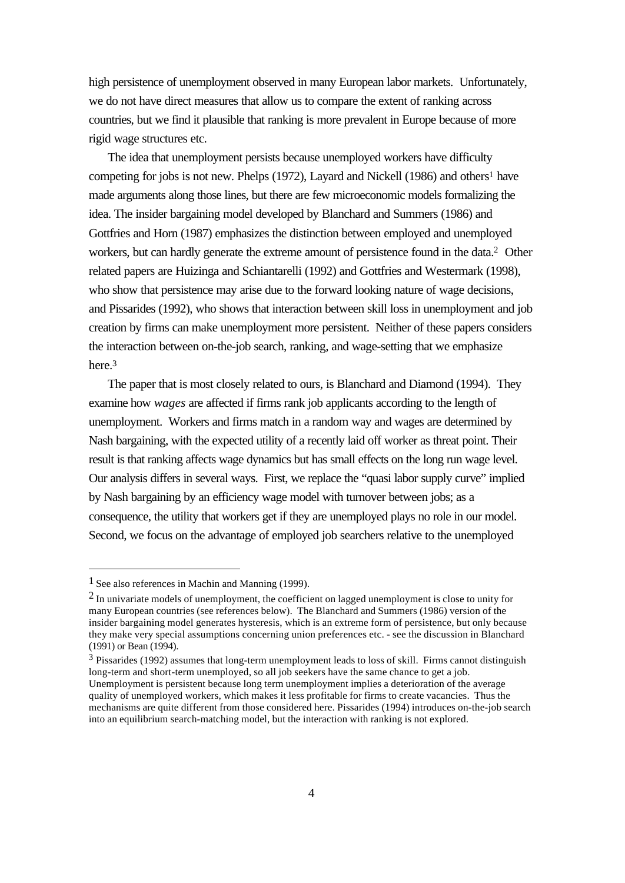high persistence of unemployment observed in many European labor markets. Unfortunately, we do not have direct measures that allow us to compare the extent of ranking across countries, but we find it plausible that ranking is more prevalent in Europe because of more rigid wage structures etc.

The idea that unemployment persists because unemployed workers have difficulty competing for jobs is not new. Phelps (1972), Layard and Nickell (1986) and others<sup>1</sup> have made arguments along those lines, but there are few microeconomic models formalizing the idea. The insider bargaining model developed by Blanchard and Summers (1986) and Gottfries and Horn (1987) emphasizes the distinction between employed and unemployed workers, but can hardly generate the extreme amount of persistence found in the data.2 Other related papers are Huizinga and Schiantarelli (1992) and Gottfries and Westermark (1998), who show that persistence may arise due to the forward looking nature of wage decisions, and Pissarides (1992), who shows that interaction between skill loss in unemployment and job creation by firms can make unemployment more persistent. Neither of these papers considers the interaction between on-the-job search, ranking, and wage-setting that we emphasize here.<sup>3</sup>

The paper that is most closely related to ours, is Blanchard and Diamond (1994). They examine how *wages* are affected if firms rank job applicants according to the length of unemployment. Workers and firms match in a random way and wages are determined by Nash bargaining, with the expected utility of a recently laid off worker as threat point. Their result is that ranking affects wage dynamics but has small effects on the long run wage level. Our analysis differs in several ways. First, we replace the "quasi labor supply curve" implied by Nash bargaining by an efficiency wage model with turnover between jobs; as a consequence, the utility that workers get if they are unemployed plays no role in our model. Second, we focus on the advantage of employed job searchers relative to the unemployed

<sup>1</sup> See also references in Machin and Manning (1999).

 $2$  In univariate models of unemployment, the coefficient on lagged unemployment is close to unity for many European countries (see references below). The Blanchard and Summers (1986) version of the insider bargaining model generates hysteresis, which is an extreme form of persistence, but only because they make very special assumptions concerning union preferences etc. - see the discussion in Blanchard (1991) or Bean (1994).

 $3$  Pissarides (1992) assumes that long-term unemployment leads to loss of skill. Firms cannot distinguish long-term and short-term unemployed, so all job seekers have the same chance to get a job. Unemployment is persistent because long term unemployment implies a deterioration of the average quality of unemployed workers, which makes it less profitable for firms to create vacancies. Thus the mechanisms are quite different from those considered here. Pissarides (1994) introduces on-the-job search into an equilibrium search-matching model, but the interaction with ranking is not explored.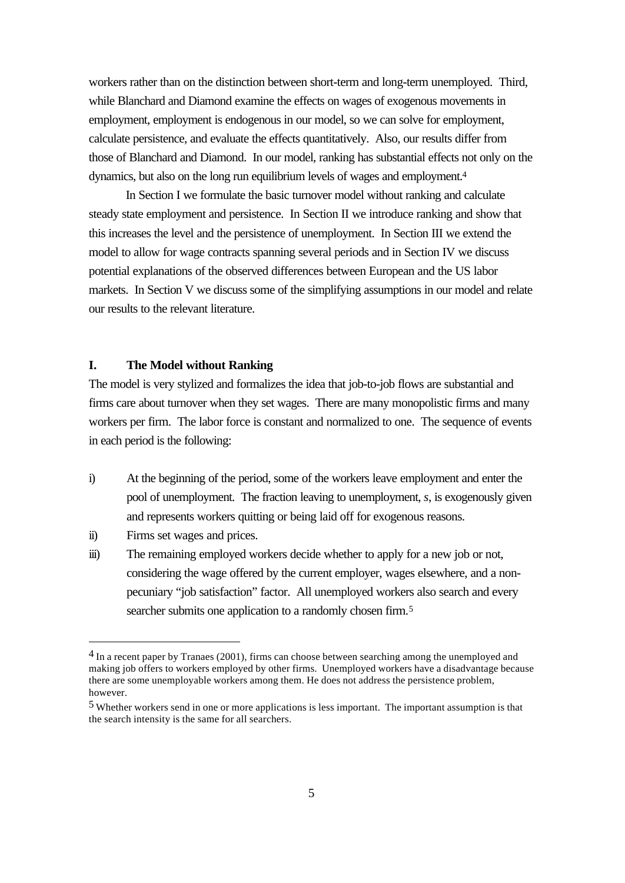workers rather than on the distinction between short-term and long-term unemployed. Third, while Blanchard and Diamond examine the effects on wages of exogenous movements in employment, employment is endogenous in our model, so we can solve for employment, calculate persistence, and evaluate the effects quantitatively. Also, our results differ from those of Blanchard and Diamond. In our model, ranking has substantial effects not only on the dynamics, but also on the long run equilibrium levels of wages and employment.<sup>4</sup>

In Section I we formulate the basic turnover model without ranking and calculate steady state employment and persistence. In Section II we introduce ranking and show that this increases the level and the persistence of unemployment. In Section III we extend the model to allow for wage contracts spanning several periods and in Section IV we discuss potential explanations of the observed differences between European and the US labor markets. In Section V we discuss some of the simplifying assumptions in our model and relate our results to the relevant literature.

# **I. The Model without Ranking**

The model is very stylized and formalizes the idea that job-to-job flows are substantial and firms care about turnover when they set wages. There are many monopolistic firms and many workers per firm. The labor force is constant and normalized to one. The sequence of events in each period is the following:

- i) At the beginning of the period, some of the workers leave employment and enter the pool of unemployment. The fraction leaving to unemployment, *s*, is exogenously given and represents workers quitting or being laid off for exogenous reasons.
- ii) Firms set wages and prices.

l

iii) The remaining employed workers decide whether to apply for a new job or not, considering the wage offered by the current employer, wages elsewhere, and a nonpecuniary "job satisfaction" factor. All unemployed workers also search and every searcher submits one application to a randomly chosen firm.<sup>5</sup>

<sup>&</sup>lt;sup>4</sup> In a recent paper by Tranaes (2001), firms can choose between searching among the unemployed and making job offers to workers employed by other firms. Unemployed workers have a disadvantage because there are some unemployable workers among them. He does not address the persistence problem, however.

<sup>5</sup> Whether workers send in one or more applications is less important. The important assumption is that the search intensity is the same for all searchers.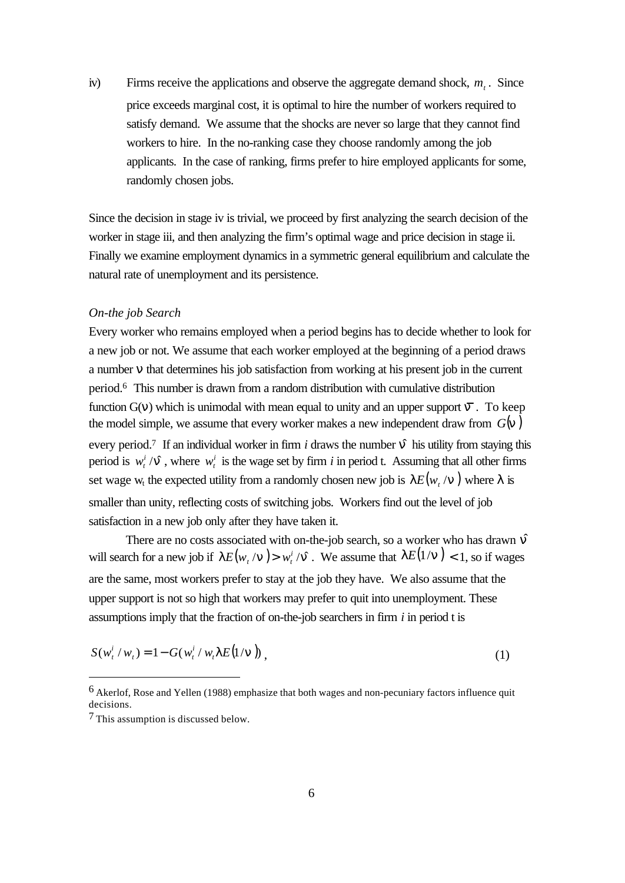iv) Firms receive the applications and observe the aggregate demand shock,  $m<sub>t</sub>$ . Since price exceeds marginal cost, it is optimal to hire the number of workers required to satisfy demand. We assume that the shocks are never so large that they cannot find workers to hire. In the no-ranking case they choose randomly among the job applicants. In the case of ranking, firms prefer to hire employed applicants for some, randomly chosen jobs.

Since the decision in stage iv is trivial, we proceed by first analyzing the search decision of the worker in stage iii, and then analyzing the firm's optimal wage and price decision in stage ii. Finally we examine employment dynamics in a symmetric general equilibrium and calculate the natural rate of unemployment and its persistence.

#### *On-the job Search*

Every worker who remains employed when a period begins has to decide whether to look for a new job or not. We assume that each worker employed at the beginning of a period draws a number *n* that determines his job satisfaction from working at his present job in the current period.6 This number is drawn from a random distribution with cumulative distribution function  $G(v)$  which is unimodal with mean equal to unity and an upper support  $\overline{n}$ . To keep the model simple, we assume that every worker makes a new independent draw from  $G(n)$ every period.<sup>7</sup> If an individual worker in firm *i* draws the number  $\hat{\bf{n}}$  his utility from staying this period is  $w_t^i / \hat{\mathbf{n}}$ , where  $w_t^i$  is the wage set by firm *i* in period t. Assuming that all other firms set wage w<sub>t</sub> the expected utility from a randomly chosen new job is  $\textit{IE}(w_{t}/\textit{n})$  where  $\lambda$  is smaller than unity, reflecting costs of switching jobs. Workers find out the level of job satisfaction in a new job only after they have taken it.

There are no costs associated with on-the-job search, so a worker who has drawn  $\hat{n}$ will search for a new job if  $I E(w_t / n) > w_t^i / \hat{n}$  . We assume that  $I E(1/n) < 1$ , so if wages are the same, most workers prefer to stay at the job they have. We also assume that the upper support is not so high that workers may prefer to quit into unemployment. These assumptions imply that the fraction of on-the-job searchers in firm *i* in period t is

$$
S(w_t^i/w_t) = 1 - G(w_t^i/w_t \, I \, E(1/\mathbf{n})) \,, \tag{1}
$$

<sup>6</sup> Akerlof, Rose and Yellen (1988) emphasize that both wages and non-pecuniary factors influence quit decisions.

<sup>7</sup> This assumption is discussed below.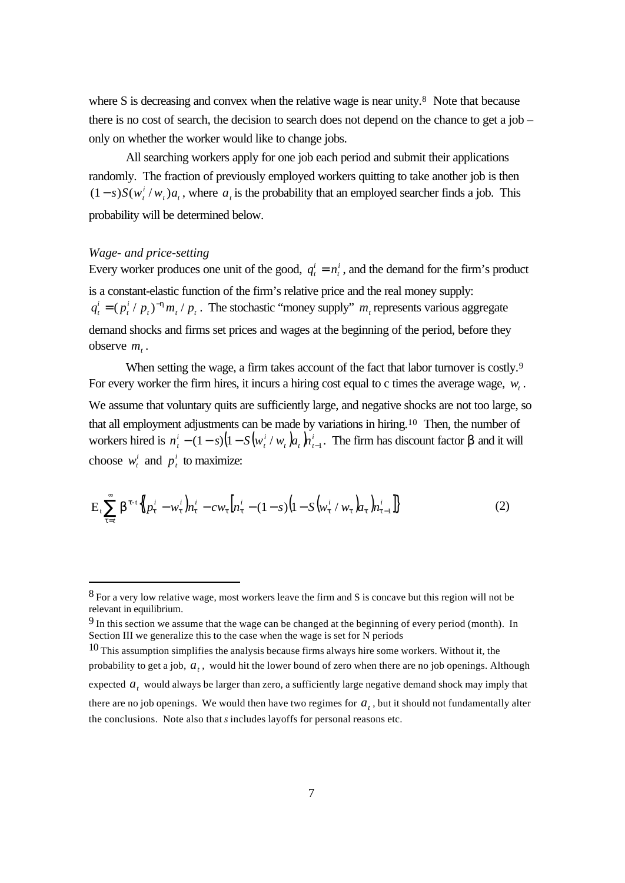where S is decreasing and convex when the relative wage is near unity.<sup>8</sup> Note that because there is no cost of search, the decision to search does not depend on the chance to get a job – only on whether the worker would like to change jobs.

All searching workers apply for one job each period and submit their applications randomly. The fraction of previously employed workers quitting to take another job is then  $t^{\prime}$ <sup> $u_t$ </sup> *i*  $(1-s)S(w_t^i/w_t)a_t$ , where *a<sub>t</sub>* is the probability that an employed searcher finds a job. This probability will be determined below.

# *Wage- and price-setting*

l

Every worker produces one unit of the good,  $q_t^i = n_t^i$ *i*  $q_t^i = n_t^i$ , and the demand for the firm's product is a constant-elastic function of the firm's relative price and the real money supply:  $\mu$ <sup>*t*</sup>  $\mu$ <sup>*t*</sup>  $\mu$ <sup>*t*</sup>  $\mu$ <sup>*t*</sup> *i t i*  $q_t^i = (p_t^i / p_t)^{-h} m_t / p_t$ . The stochastic "money supply" *m<sub>t</sub>* represents various aggregate demand shocks and firms set prices and wages at the beginning of the period, before they observe  $m_t$ .

When setting the wage, a firm takes account of the fact that labor turnover is costly.<sup>9</sup> For every worker the firm hires, it incurs a hiring cost equal to c times the average wage,  $w_t$ . We assume that voluntary quits are sufficiently large, and negative shocks are not too large, so that all employment adjustments can be made by variations in hiring.10 Then, the number of workers hired is  $n_i^i - (1 - s)(1 - S(w_i^i / w_i)a_i) n_i^i$  $_{t}$   $\mu_{t}$   $\mu_{t}$ *i t i*  $n_i^i - (1 - s)(1 - S(w_i^i / w_i)a_i) n_{i-1}^i$ . The firm has discount factor  $\beta$  and it will choose  $w_t^i$  and  $p_t^i$  to maximize:

$$
E_t \sum_{t=t}^{\infty} \boldsymbol{b}^{t-t} \{ \left( p_t^i - w_t^i \right) n_t^i - c w_t \left[ n_t^i - (1-s) \left( 1 - S \left( w_t^i / w_t \right) n_t \right) n_{t-1}^i \right] \} \tag{2}
$$

<sup>8</sup> For a very low relative wage, most workers leave the firm and S is concave but this region will not be relevant in equilibrium.

<sup>9</sup> In this section we assume that the wage can be changed at the beginning of every period (month). In Section III we generalize this to the case when the wage is set for N periods

 $10$  This assumption simplifies the analysis because firms always hire some workers. Without it, the probability to get a job, *a<sup>t</sup>* , would hit the lower bound of zero when there are no job openings. Although expected  $a_t$  would always be larger than zero, a sufficiently large negative demand shock may imply that there are no job openings. We would then have two regimes for  $a_t$ , but it should not fundamentally alter the conclusions. Note also that *s* includes layoffs for personal reasons etc.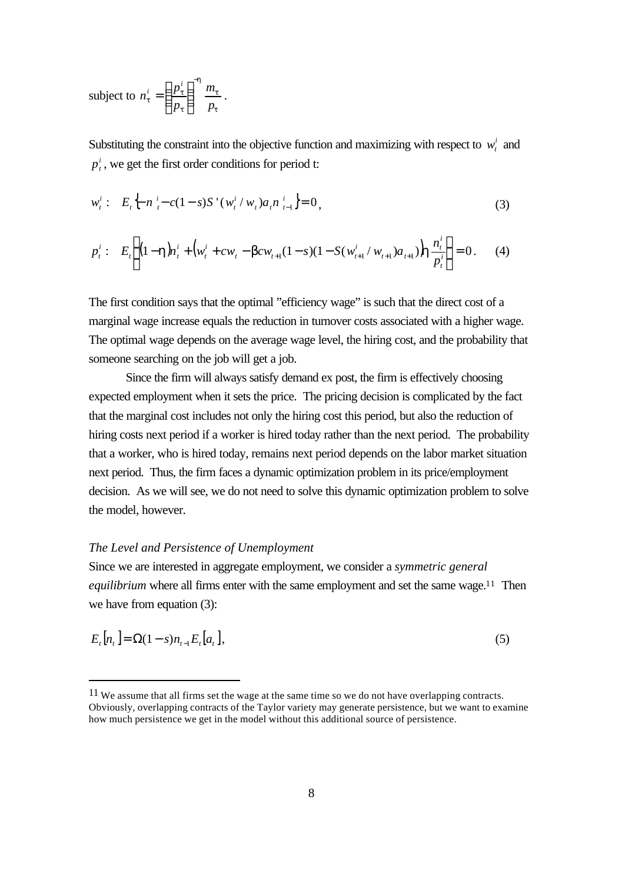subject to 
$$
n_t^i = \left(\frac{p_t^i}{p_t}\right)^{-h} \frac{m_t}{p_t}
$$
.

Substituting the constraint into the objective function and maximizing with respect to  $w_t^i$  and *i*  $p_t^i$ , we get the first order conditions for period t:

$$
w_t^i: E_t \Big\{ n_i^i - c(1-s)S'(w_t^i/w_t) a_t n_{t-1}^i \Big\} = 0,
$$
\n(3)

$$
p_t^i: \quad E_t\left\{ (1-\mathbf{h})n_t^i + \left( w_t^i + cw_t - \mathbf{b}cw_{t+1}(1-s)(1-S(w_{t+1}^i/w_{t+1})a_{t+1}) \mathbf{h} \frac{n_t^i}{p_t^i} \right\} = 0. \tag{4}
$$

The first condition says that the optimal "efficiency wage" is such that the direct cost of a marginal wage increase equals the reduction in turnover costs associated with a higher wage. The optimal wage depends on the average wage level, the hiring cost, and the probability that someone searching on the job will get a job.

Since the firm will always satisfy demand ex post, the firm is effectively choosing expected employment when it sets the price. The pricing decision is complicated by the fact that the marginal cost includes not only the hiring cost this period, but also the reduction of hiring costs next period if a worker is hired today rather than the next period. The probability that a worker, who is hired today, remains next period depends on the labor market situation next period. Thus, the firm faces a dynamic optimization problem in its price/employment decision. As we will see, we do not need to solve this dynamic optimization problem to solve the model, however.

# *The Level and Persistence of Unemployment*

l

Since we are interested in aggregate employment, we consider a *symmetric general equilibrium* where all firms enter with the same employment and set the same wage.<sup>11</sup> Then we have from equation (3):

$$
E_t[n_t] = \Omega(1 - s)n_{t-1}E_t[n_t],
$$
\n(5)

<sup>11</sup> We assume that all firms set the wage at the same time so we do not have overlapping contracts. Obviously, overlapping contracts of the Taylor variety may generate persistence, but we want to examine how much persistence we get in the model without this additional source of persistence.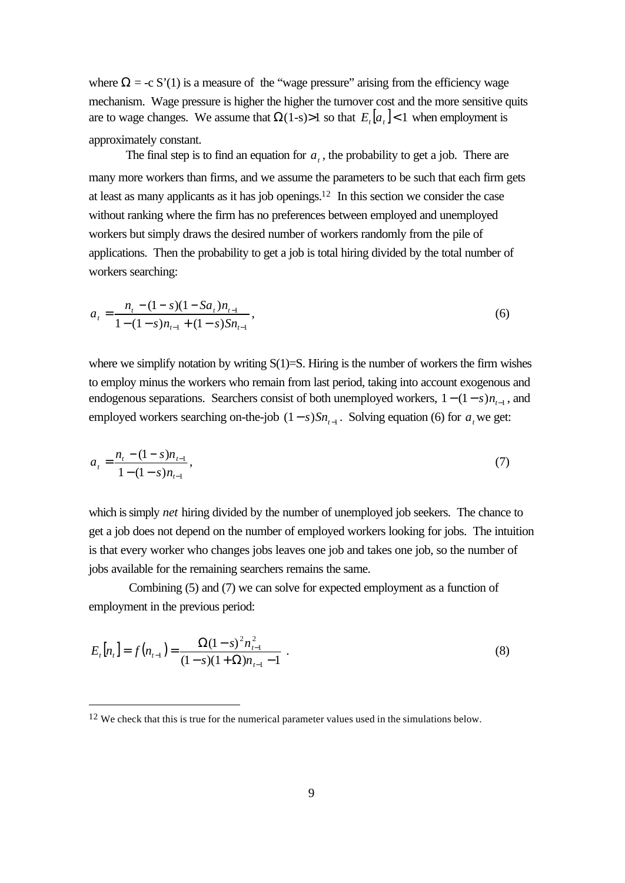where  $\Omega = -c S'(1)$  is a measure of the "wage pressure" arising from the efficiency wage mechanism. Wage pressure is higher the higher the turnover cost and the more sensitive quits are to wage changes. We assume that  $\Omega(1-s) > 1$  so that  $E_t[a_t] < 1$  when employment is approximately constant.

The final step is to find an equation for  $a_t$ , the probability to get a job. There are many more workers than firms, and we assume the parameters to be such that each firm gets at least as many applicants as it has job openings.12 In this section we consider the case without ranking where the firm has no preferences between employed and unemployed workers but simply draws the desired number of workers randomly from the pile of applications. Then the probability to get a job is total hiring divided by the total number of workers searching:

$$
a_{t} = \frac{n_{t} - (1 - s)(1 - Sa_{t})n_{t-1}}{1 - (1 - s)n_{t-1} + (1 - s)Sn_{t-1}},
$$
\n
$$
(6)
$$

where we simplify notation by writing  $S(1)=S$ . Hiring is the number of workers the firm wishes to employ minus the workers who remain from last period, taking into account exogenous and endogenous separations. Searchers consist of both unemployed workers,  $1 - (1 - s)n_{t-1}$ , and employed workers searching on-the-job  $(1 - s)Sn_{t-1}$ . Solving equation (6) for  $a_t$  we get:

$$
a_{t} = \frac{n_{t} - (1 - s)n_{t-1}}{1 - (1 - s)n_{t-1}},
$$
\n<sup>(7)</sup>

which is simply *net* hiring divided by the number of unemployed job seekers. The chance to get a job does not depend on the number of employed workers looking for jobs. The intuition is that every worker who changes jobs leaves one job and takes one job, so the number of jobs available for the remaining searchers remains the same.

 Combining (5) and (7) we can solve for expected employment as a function of employment in the previous period:

$$
E_t[n_t] = f(n_{t-1}) = \frac{\Omega(1-s)^2 n_{t-1}^2}{(1-s)(1+\Omega)n_{t-1} - 1} \tag{8}
$$

 $12$  We check that this is true for the numerical parameter values used in the simulations below.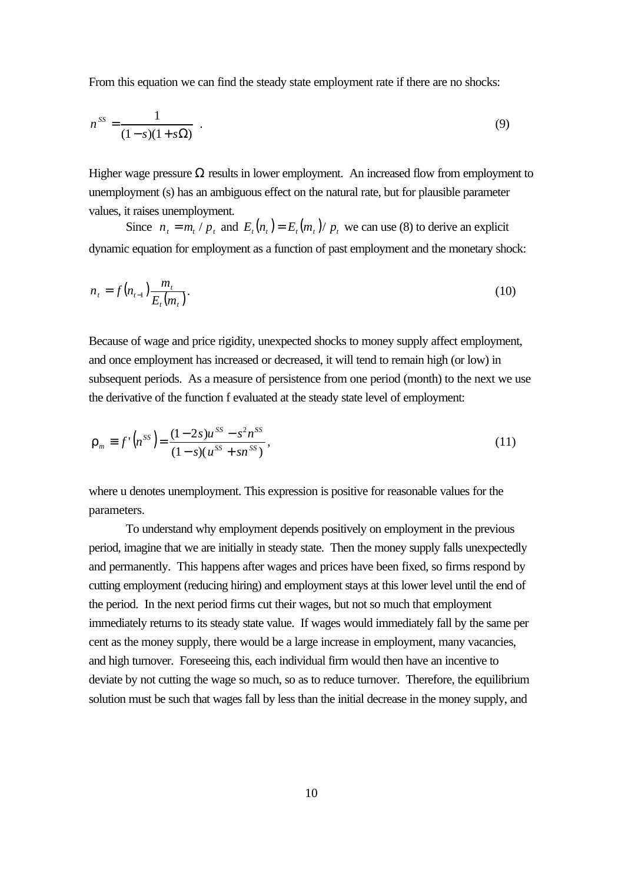From this equation we can find the steady state employment rate if there are no shocks:

$$
n^{SS} = \frac{1}{(1-s)(1+s\Omega)} \tag{9}
$$

Higher wage pressure  $\Omega$  results in lower employment. An increased flow from employment to unemployment (s) has an ambiguous effect on the natural rate, but for plausible parameter values, it raises unemployment.

Since  $n_t = m_t / p_t$  and  $E_t(n_t) = E_t(m_t) / p_t$  we can use (8) to derive an explicit dynamic equation for employment as a function of past employment and the monetary shock:

$$
n_{t} = f(n_{t-1}) \frac{m_{t}}{E_{t}(m_{t})}.
$$
\n(10)

Because of wage and price rigidity, unexpected shocks to money supply affect employment, and once employment has increased or decreased, it will tend to remain high (or low) in subsequent periods. As a measure of persistence from one period (month) to the next we use the derivative of the function f evaluated at the steady state level of employment:

$$
\boldsymbol{r}_m \equiv f' \left( n^{SS} \right) = \frac{(1 - 2s)u^{SS} - s^2 n^{SS}}{(1 - s)(u^{SS} + sn^{SS})},\tag{11}
$$

where u denotes unemployment. This expression is positive for reasonable values for the parameters.

To understand why employment depends positively on employment in the previous period, imagine that we are initially in steady state. Then the money supply falls unexpectedly and permanently. This happens after wages and prices have been fixed, so firms respond by cutting employment (reducing hiring) and employment stays at this lower level until the end of the period. In the next period firms cut their wages, but not so much that employment immediately returns to its steady state value. If wages would immediately fall by the same per cent as the money supply, there would be a large increase in employment, many vacancies, and high turnover. Foreseeing this, each individual firm would then have an incentive to deviate by not cutting the wage so much, so as to reduce turnover. Therefore, the equilibrium solution must be such that wages fall by less than the initial decrease in the money supply, and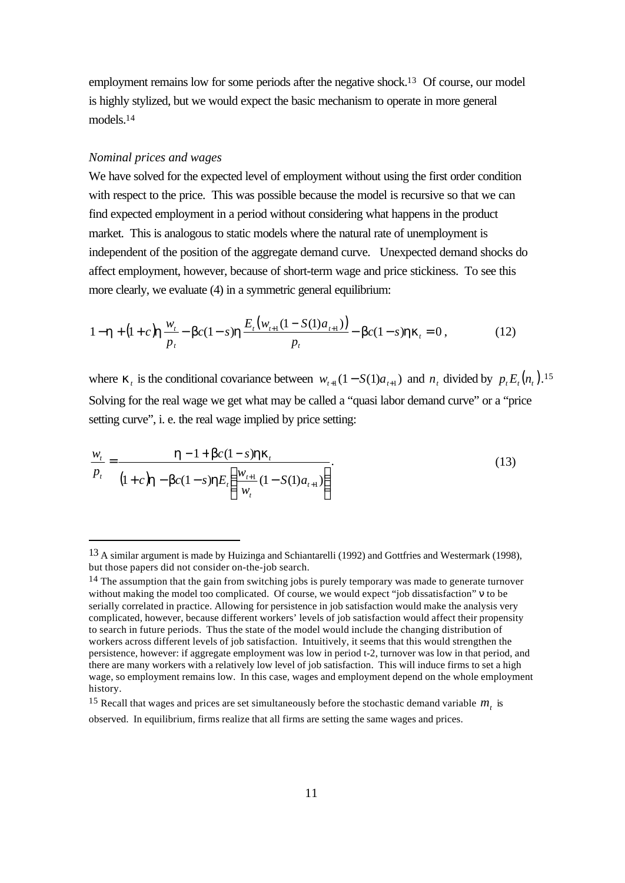employment remains low for some periods after the negative shock.13 Of course, our model is highly stylized, but we would expect the basic mechanism to operate in more general models.<sup>14</sup>

#### *Nominal prices and wages*

j

We have solved for the expected level of employment without using the first order condition with respect to the price. This was possible because the model is recursive so that we can find expected employment in a period without considering what happens in the product market. This is analogous to static models where the natural rate of unemployment is independent of the position of the aggregate demand curve. Unexpected demand shocks do affect employment, however, because of short-term wage and price stickiness. To see this more clearly, we evaluate (4) in a symmetric general equilibrium:

$$
1 - \mathbf{h} + (1 + c)\mathbf{h} \frac{w_t}{p_t} - \mathbf{b}c(1 - s)\mathbf{h} \frac{E_t(w_{t+1}(1 - S(1)a_{t+1}))}{p_t} - \mathbf{b}c(1 - s)\mathbf{h}\mathbf{k}_t = 0, \qquad (12)
$$

where  $\mathbf{k}_t$  is the conditional covariance between  $w_{t+1}(1 - S(1)a_{t+1})$  and  $n_t$  divided by  $p_t E_t(n_t)$ .<sup>15</sup> Solving for the real wage we get what may be called a "quasi labor demand curve" or a "price setting curve", i. e. the real wage implied by price setting:

$$
\frac{w_{t}}{p_{t}} = \frac{\mathbf{h} - 1 + \mathbf{b}c(1 - s)\mathbf{h}\mathbf{k}_{t}}{(1 + c)\mathbf{h} - \mathbf{b}c(1 - s)\mathbf{h}E_{t} \left(\frac{w_{t+1}}{w_{t}}(1 - S(1)a_{t+1})\right)}.
$$
(13)

<sup>13</sup> A similar argument is made by Huizinga and Schiantarelli (1992) and Gottfries and Westermark (1998), but those papers did not consider on-the-job search.

 $14$  The assumption that the gain from switching jobs is purely temporary was made to generate turnover without making the model too complicated. Of course, we would expect "job dissatisfaction" ν to be serially correlated in practice. Allowing for persistence in job satisfaction would make the analysis very complicated, however, because different workers' levels of job satisfaction would affect their propensity to search in future periods. Thus the state of the model would include the changing distribution of workers across different levels of job satisfaction. Intuitively, it seems that this would strengthen the persistence, however: if aggregate employment was low in period t-2, turnover was low in that period, and there are many workers with a relatively low level of job satisfaction. This will induce firms to set a high wage, so employment remains low. In this case, wages and employment depend on the whole employment history.

<sup>&</sup>lt;sup>15</sup> Recall that wages and prices are set simultaneously before the stochastic demand variable  $m<sub>t</sub>$  is observed. In equilibrium, firms realize that all firms are setting the same wages and prices.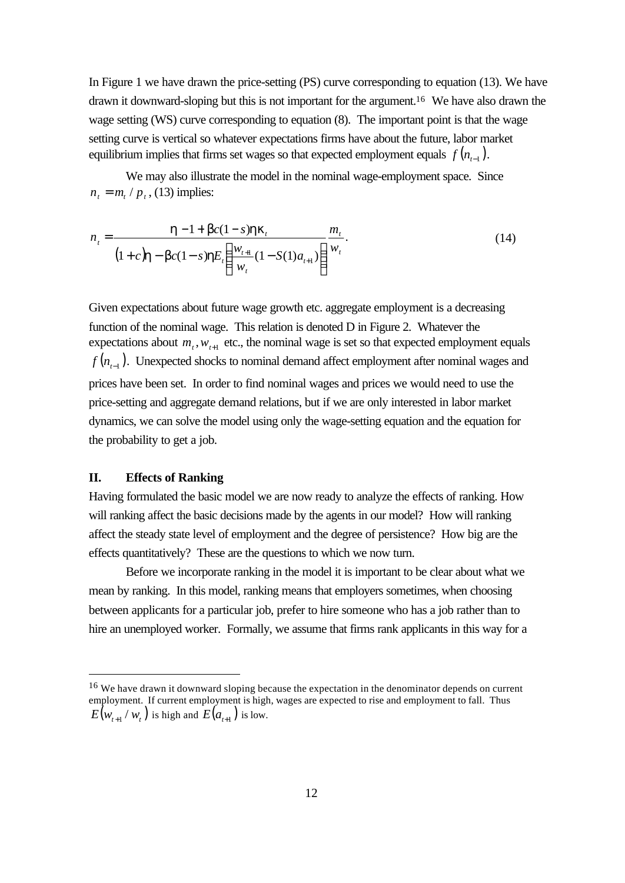In Figure 1 we have drawn the price-setting (PS) curve corresponding to equation (13). We have drawn it downward-sloping but this is not important for the argument.16 We have also drawn the wage setting (WS) curve corresponding to equation (8). The important point is that the wage setting curve is vertical so whatever expectations firms have about the future, labor market equilibrium implies that firms set wages so that expected employment equals  $f(n_{t-1})$ .

We may also illustrate the model in the nominal wage-employment space. Since  $n_t = m_t / p_t$ , (13) implies:

$$
n_{t} = \frac{\mathbf{h} - 1 + \mathbf{b}c(1 - s)\mathbf{h}\mathbf{k}_{t}}{(1 + c)\mathbf{h} - \mathbf{b}c(1 - s)\mathbf{h}E_{t} \left(\frac{w_{t+1}}{w_{t}}(1 - S(1)a_{t+1})\right)} \frac{m_{t}}{w_{t}}.
$$
(14)

Given expectations about future wage growth etc. aggregate employment is a decreasing function of the nominal wage. This relation is denoted D in Figure 2. Whatever the expectations about  $m_t$ ,  $w_{t+1}$  etc., the nominal wage is set so that expected employment equals  $f(n_{_{t-1}}).$  Unexpected shocks to nominal demand affect employment after nominal wages and prices have been set. In order to find nominal wages and prices we would need to use the price-setting and aggregate demand relations, but if we are only interested in labor market dynamics, we can solve the model using only the wage-setting equation and the equation for the probability to get a job.

# **II. Effects of Ranking**

l

Having formulated the basic model we are now ready to analyze the effects of ranking. How will ranking affect the basic decisions made by the agents in our model? How will ranking affect the steady state level of employment and the degree of persistence? How big are the effects quantitatively? These are the questions to which we now turn.

Before we incorporate ranking in the model it is important to be clear about what we mean by ranking. In this model, ranking means that employers sometimes, when choosing between applicants for a particular job, prefer to hire someone who has a job rather than to hire an unemployed worker. Formally, we assume that firms rank applicants in this way for a

<sup>&</sup>lt;sup>16</sup> We have drawn it downward sloping because the expectation in the denominator depends on current employment. If current employment is high, wages are expected to rise and employment to fall. Thus  $E\big(w_{_{t+1}} / \, w_{_t}\big)$  is high and  $E\big(a_{_{t+1}}\big)$  is low.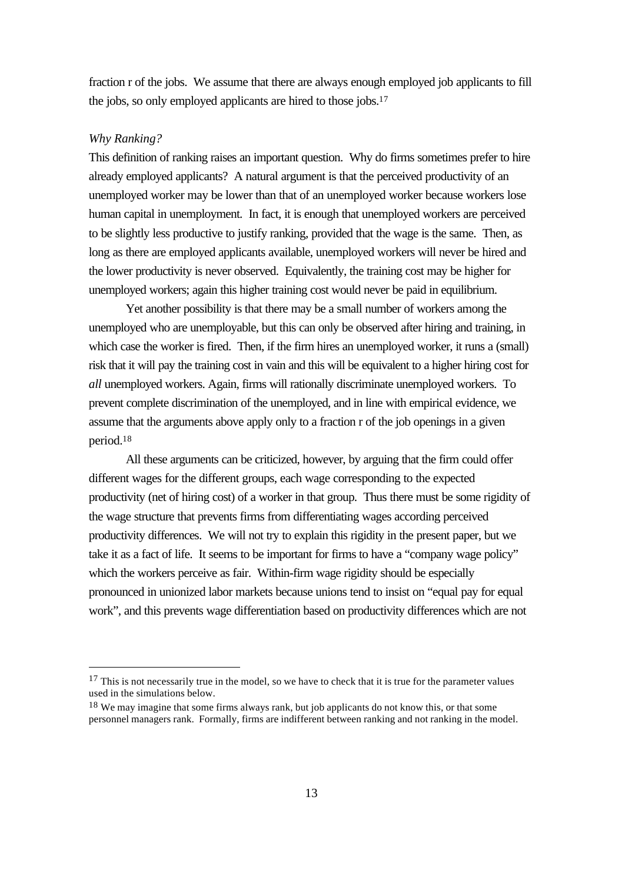fraction r of the jobs. We assume that there are always enough employed job applicants to fill the jobs, so only employed applicants are hired to those jobs.<sup>17</sup>

#### *Why Ranking?*

l

This definition of ranking raises an important question. Why do firms sometimes prefer to hire already employed applicants? A natural argument is that the perceived productivity of an unemployed worker may be lower than that of an unemployed worker because workers lose human capital in unemployment. In fact, it is enough that unemployed workers are perceived to be slightly less productive to justify ranking, provided that the wage is the same. Then, as long as there are employed applicants available, unemployed workers will never be hired and the lower productivity is never observed. Equivalently, the training cost may be higher for unemployed workers; again this higher training cost would never be paid in equilibrium.

Yet another possibility is that there may be a small number of workers among the unemployed who are unemployable, but this can only be observed after hiring and training, in which case the worker is fired. Then, if the firm hires an unemployed worker, it runs a (small) risk that it will pay the training cost in vain and this will be equivalent to a higher hiring cost for *all* unemployed workers. Again, firms will rationally discriminate unemployed workers. To prevent complete discrimination of the unemployed, and in line with empirical evidence, we assume that the arguments above apply only to a fraction r of the job openings in a given period.<sup>18</sup>

All these arguments can be criticized, however, by arguing that the firm could offer different wages for the different groups, each wage corresponding to the expected productivity (net of hiring cost) of a worker in that group. Thus there must be some rigidity of the wage structure that prevents firms from differentiating wages according perceived productivity differences. We will not try to explain this rigidity in the present paper, but we take it as a fact of life. It seems to be important for firms to have a "company wage policy" which the workers perceive as fair. Within-firm wage rigidity should be especially pronounced in unionized labor markets because unions tend to insist on "equal pay for equal work", and this prevents wage differentiation based on productivity differences which are not

 $17$  This is not necessarily true in the model, so we have to check that it is true for the parameter values used in the simulations below.

<sup>&</sup>lt;sup>18</sup> We may imagine that some firms always rank, but job applicants do not know this, or that some personnel managers rank. Formally, firms are indifferent between ranking and not ranking in the model.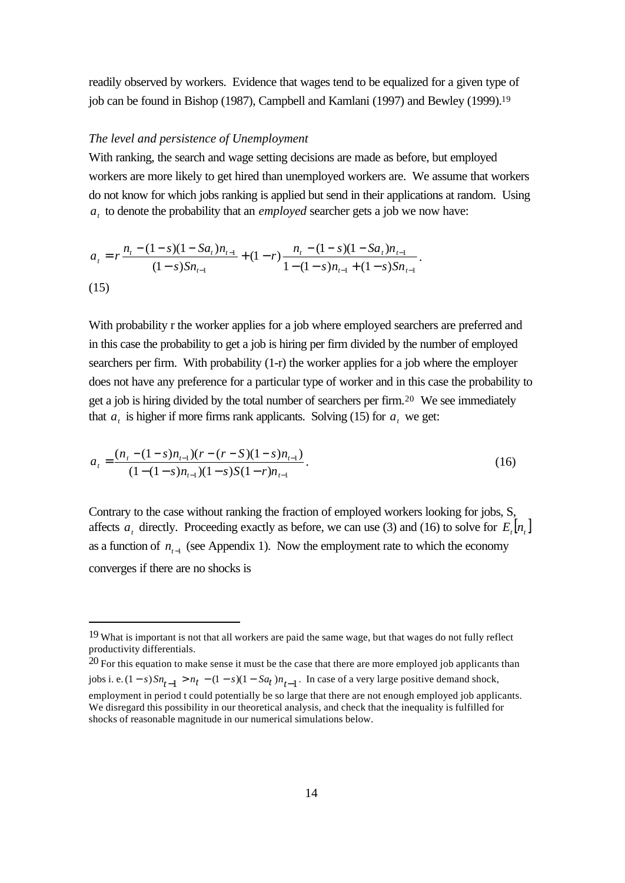readily observed by workers. Evidence that wages tend to be equalized for a given type of job can be found in Bishop (1987), Campbell and Kamlani (1997) and Bewley (1999).<sup>19</sup>

#### *The level and persistence of Unemployment*

l

With ranking, the search and wage setting decisions are made as before, but employed workers are more likely to get hired than unemployed workers are. We assume that workers do not know for which jobs ranking is applied but send in their applications at random. Using *at* to denote the probability that an *employed* searcher gets a job we now have:

$$
a_{t} = r \frac{n_{t} - (1 - s)(1 - Sa_{t})n_{t-1}}{(1 - s)Sn_{t-1}} + (1 - r) \frac{n_{t} - (1 - s)(1 - Sa_{t})n_{t-1}}{1 - (1 - s)n_{t-1} + (1 - s)Sn_{t-1}}.
$$
\n(15)

With probability r the worker applies for a job where employed searchers are preferred and in this case the probability to get a job is hiring per firm divided by the number of employed searchers per firm. With probability (1-r) the worker applies for a job where the employer does not have any preference for a particular type of worker and in this case the probability to get a job is hiring divided by the total number of searchers per firm.20 We see immediately that  $a_t$  is higher if more firms rank applicants. Solving (15) for  $a_t$  we get:

$$
a_{t} = \frac{(n_{t} - (1 - s)n_{t-1})(r - (r - S)(1 - s)n_{t-1})}{(1 - (1 - s)n_{t-1})(1 - s)S(1 - r)n_{t-1}}.
$$
\n(16)

Contrary to the case without ranking the fraction of employed workers looking for jobs, S, affects  $a_t$  directly. Proceeding exactly as before, we can use (3) and (16) to solve for  $E_t[n_t]$ as a function of  $n_{t-1}$  (see Appendix 1). Now the employment rate to which the economy converges if there are no shocks is

<sup>&</sup>lt;sup>19</sup> What is important is not that all workers are paid the same wage, but that wages do not fully reflect productivity differentials.

 $20$  For this equation to make sense it must be the case that there are more employed job applicants than jobs i. e.  $(1-s)Sn_{t-1} > n_t - (1-s)(1-Sa_t)n_{t-1}$ . In case of a very large positive demand shock, employment in period t could potentially be so large that there are not enough employed job applicants. We disregard this possibility in our theoretical analysis, and check that the inequality is fulfilled for shocks of reasonable magnitude in our numerical simulations below.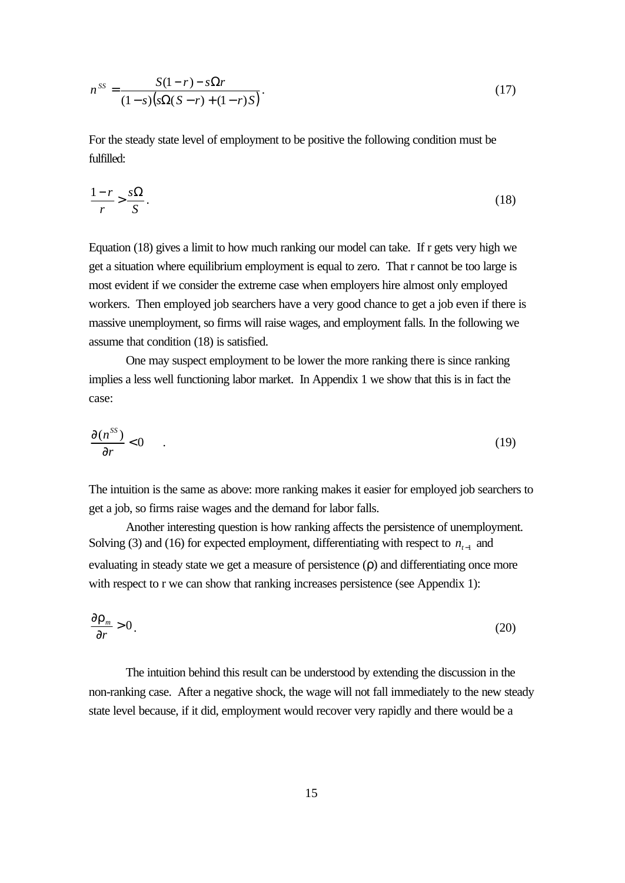$$
n^{SS} = \frac{S(1-r) - s\Omega r}{(1-s)(s\Omega(S-r) + (1-r)S)}.
$$
\n(17)

For the steady state level of employment to be positive the following condition must be fulfilled:

$$
\frac{1-r}{r} > \frac{s\Omega}{S}.\tag{18}
$$

Equation (18) gives a limit to how much ranking our model can take. If r gets very high we get a situation where equilibrium employment is equal to zero. That r cannot be too large is most evident if we consider the extreme case when employers hire almost only employed workers. Then employed job searchers have a very good chance to get a job even if there is massive unemployment, so firms will raise wages, and employment falls. In the following we assume that condition (18) is satisfied.

One may suspect employment to be lower the more ranking there is since ranking implies a less well functioning labor market. In Appendix 1 we show that this is in fact the case:

$$
\frac{\partial (n^{SS})}{\partial r} < 0 \tag{19}
$$

The intuition is the same as above: more ranking makes it easier for employed job searchers to get a job, so firms raise wages and the demand for labor falls.

Another interesting question is how ranking affects the persistence of unemployment. Solving (3) and (16) for expected employment, differentiating with respect to  $n_{t-1}$  and evaluating in steady state we get a measure of persistence (ρ) and differentiating once more with respect to r we can show that ranking increases persistence (see Appendix 1):

$$
\frac{\partial \mathbf{r}_m}{\partial r} > 0 \tag{20}
$$

The intuition behind this result can be understood by extending the discussion in the non-ranking case. After a negative shock, the wage will not fall immediately to the new steady state level because, if it did, employment would recover very rapidly and there would be a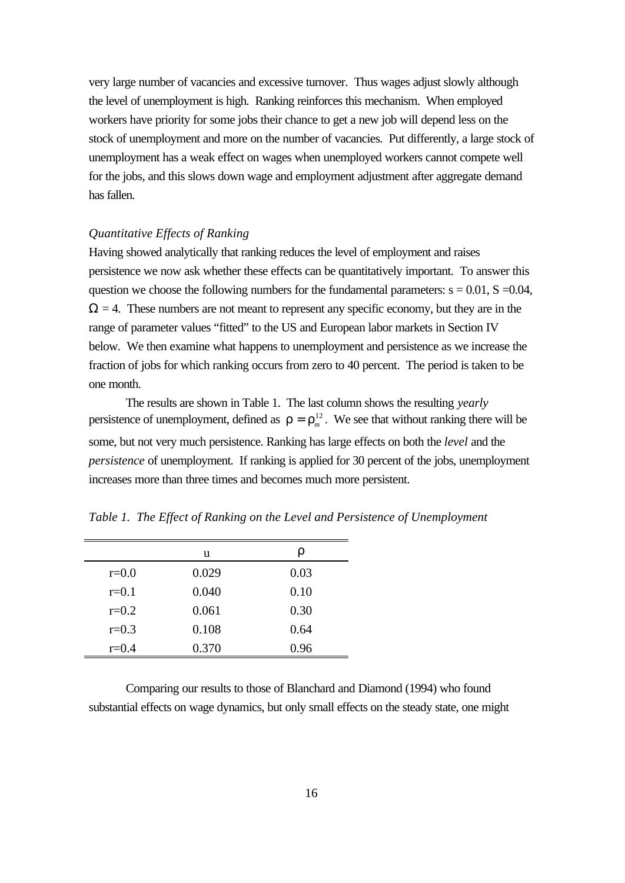very large number of vacancies and excessive turnover. Thus wages adjust slowly although the level of unemployment is high. Ranking reinforces this mechanism. When employed workers have priority for some jobs their chance to get a new job will depend less on the stock of unemployment and more on the number of vacancies. Put differently, a large stock of unemployment has a weak effect on wages when unemployed workers cannot compete well for the jobs, and this slows down wage and employment adjustment after aggregate demand has fallen.

# *Quantitative Effects of Ranking*

Having showed analytically that ranking reduces the level of employment and raises persistence we now ask whether these effects can be quantitatively important. To answer this question we choose the following numbers for the fundamental parameters:  $s = 0.01$ ,  $S = 0.04$ ,  $\Omega = 4$ . These numbers are not meant to represent any specific economy, but they are in the range of parameter values "fitted" to the US and European labor markets in Section IV below. We then examine what happens to unemployment and persistence as we increase the fraction of jobs for which ranking occurs from zero to 40 percent. The period is taken to be one month.

The results are shown in Table 1. The last column shows the resulting *yearly* persistence of unemployment, defined as  $\mathbf{r} = \mathbf{r}_m^{12}$ . We see that without ranking there will be some, but not very much persistence. Ranking has large effects on both the *level* and the *persistence* of unemployment. If ranking is applied for 30 percent of the jobs, unemployment increases more than three times and becomes much more persistent.

|           | u     | r    |
|-----------|-------|------|
| $r=0.0$   | 0.029 | 0.03 |
| $r = 0.1$ | 0.040 | 0.10 |
| $r=0.2$   | 0.061 | 0.30 |
| $r=0.3$   | 0.108 | 0.64 |
| $r = 0.4$ | 0.370 | 0.96 |

*Table 1. The Effect of Ranking on the Level and Persistence of Unemployment*

Comparing our results to those of Blanchard and Diamond (1994) who found substantial effects on wage dynamics, but only small effects on the steady state, one might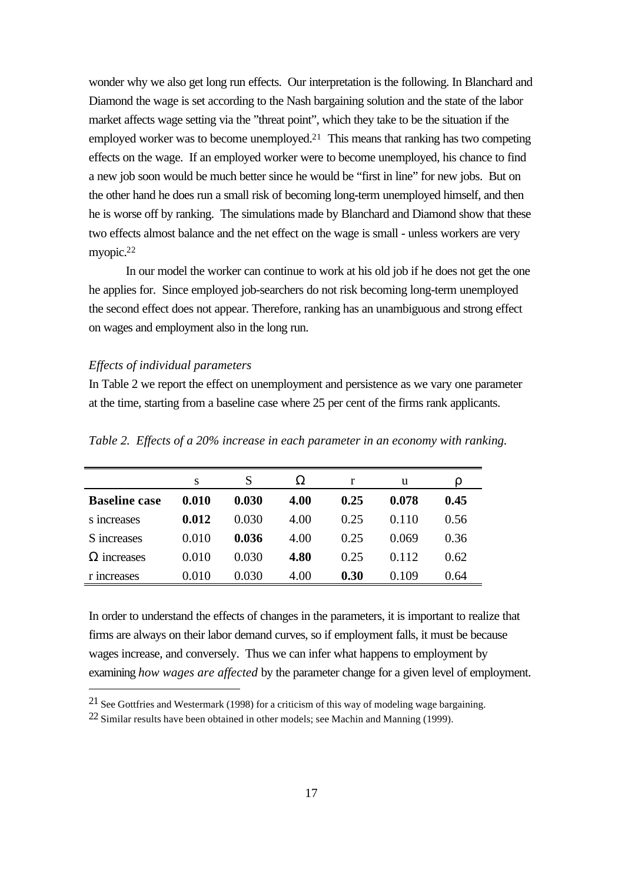wonder why we also get long run effects. Our interpretation is the following. In Blanchard and Diamond the wage is set according to the Nash bargaining solution and the state of the labor market affects wage setting via the "threat point", which they take to be the situation if the employed worker was to become unemployed.21 This means that ranking has two competing effects on the wage. If an employed worker were to become unemployed, his chance to find a new job soon would be much better since he would be "first in line" for new jobs. But on the other hand he does run a small risk of becoming long-term unemployed himself, and then he is worse off by ranking. The simulations made by Blanchard and Diamond show that these two effects almost balance and the net effect on the wage is small - unless workers are very myopic.<sup>22</sup>

In our model the worker can continue to work at his old job if he does not get the one he applies for. Since employed job-searchers do not risk becoming long-term unemployed the second effect does not appear. Therefore, ranking has an unambiguous and strong effect on wages and employment also in the long run.

#### *Effects of individual parameters*

l

In Table 2 we report the effect on unemployment and persistence as we vary one parameter at the time, starting from a baseline case where 25 per cent of the firms rank applicants.

|                      | S     | S     | 73   | r    | u     |      |
|----------------------|-------|-------|------|------|-------|------|
| <b>Baseline case</b> | 0.010 | 0.030 | 4.00 | 0.25 | 0.078 | 0.45 |
| s increases          | 0.012 | 0.030 | 4.00 | 0.25 | 0.110 | 0.56 |
| S increases          | 0.010 | 0.036 | 4.00 | 0.25 | 0.069 | 0.36 |
| $\Omega$ increases   | 0.010 | 0.030 | 4.80 | 0.25 | 0.112 | 0.62 |
| r increases          | 0.010 | 0.030 | 4.00 | 0.30 | 0.109 | 0.64 |

*Table 2. Effects of a 20% increase in each parameter in an economy with ranking.*

In order to understand the effects of changes in the parameters, it is important to realize that firms are always on their labor demand curves, so if employment falls, it must be because wages increase, and conversely. Thus we can infer what happens to employment by examining *how wages are affected* by the parameter change for a given level of employment.

<sup>21</sup> See Gottfries and Westermark (1998) for a criticism of this way of modeling wage bargaining.

<sup>22</sup> Similar results have been obtained in other models; see Machin and Manning (1999).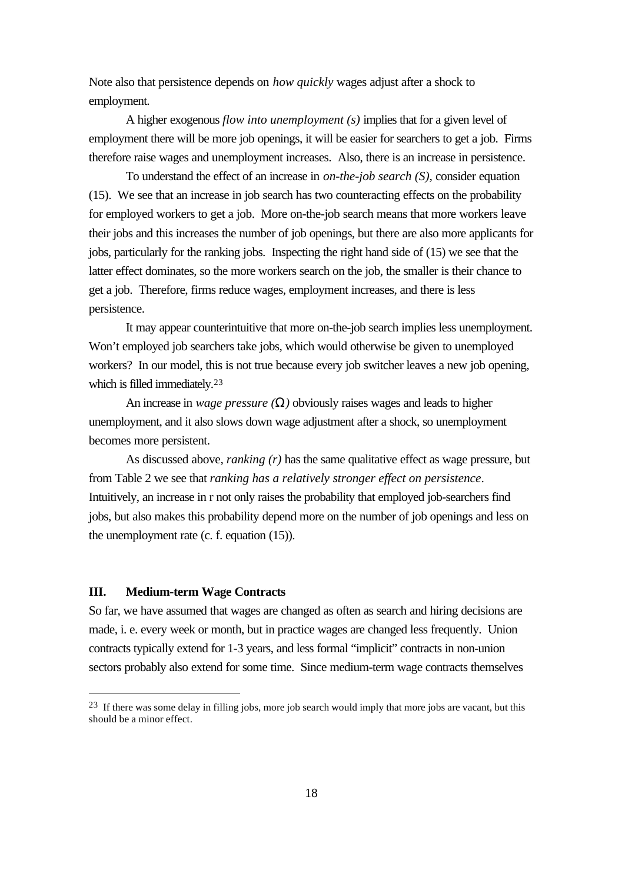Note also that persistence depends on *how quickly* wages adjust after a shock to employment.

A higher exogenous *flow into unemployment (s)* implies that for a given level of employment there will be more job openings, it will be easier for searchers to get a job. Firms therefore raise wages and unemployment increases. Also, there is an increase in persistence.

To understand the effect of an increase in *on-the-job search (S),* consider equation (15). We see that an increase in job search has two counteracting effects on the probability for employed workers to get a job. More on-the-job search means that more workers leave their jobs and this increases the number of job openings, but there are also more applicants for jobs, particularly for the ranking jobs. Inspecting the right hand side of (15) we see that the latter effect dominates, so the more workers search on the job, the smaller is their chance to get a job. Therefore, firms reduce wages, employment increases, and there is less persistence.

It may appear counterintuitive that more on-the-job search implies less unemployment. Won't employed job searchers take jobs, which would otherwise be given to unemployed workers? In our model, this is not true because every job switcher leaves a new job opening, which is filled immediately.<sup>23</sup>

An increase in *wage pressure (W)* obviously raises wages and leads to higher unemployment, and it also slows down wage adjustment after a shock, so unemployment becomes more persistent.

As discussed above, *ranking (r)* has the same qualitative effect as wage pressure, but from Table 2 we see that *ranking has a relatively stronger effect on persistence*. Intuitively, an increase in r not only raises the probability that employed job-searchers find jobs, but also makes this probability depend more on the number of job openings and less on the unemployment rate (c. f. equation (15)).

#### **III. Medium-term Wage Contracts**

l

So far, we have assumed that wages are changed as often as search and hiring decisions are made, i. e. every week or month, but in practice wages are changed less frequently. Union contracts typically extend for 1-3 years, and less formal "implicit" contracts in non-union sectors probably also extend for some time. Since medium-term wage contracts themselves

<sup>&</sup>lt;sup>23</sup> If there was some delay in filling jobs, more job search would imply that more jobs are vacant, but this should be a minor effect.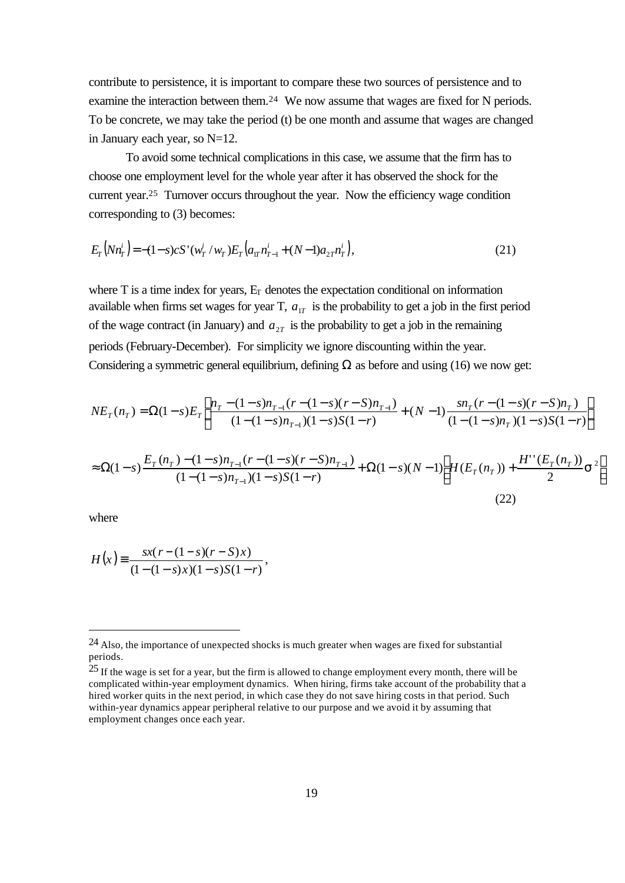contribute to persistence, it is important to compare these two sources of persistence and to examine the interaction between them.<sup>24</sup> We now assume that wages are fixed for N periods. To be concrete, we may take the period (t) be one month and assume that wages are changed in January each year, so N=12.

To avoid some technical complications in this case, we assume that the firm has to choose one employment level for the whole year after it has observed the shock for the current year.25 Turnover occurs throughout the year. Now the efficiency wage condition corresponding to (3) becomes:

$$
E_r\left(Nn_T^i\right) = -(1-s)cS\left(w_T^i/w_T\right)E_r\left(a_{1T}n_{T-1}^i + (N-1)a_{2T}n_T^i\right),\tag{21}
$$

where  $T$  is a time index for years,  $E_T$  denotes the expectation conditional on information available when firms set wages for year T,  $a_{1T}$  is the probability to get a job in the first period of the wage contract (in January) and  $a_{2T}$  is the probability to get a job in the remaining periods (February-December). For simplicity we ignore discounting within the year. Considering a symmetric general equilibrium, defining  $\Omega$  as before and using (16) we now get:

$$
NE_{T}(n_{T}) = \Omega(1-s)E_{T}\left[\frac{n_{T} - (1-s)n_{T-1}(r - (1-s)(r - S)n_{T-1})}{(1 - (1-s)n_{T-1})(1 - s)S(1 - r)} + (N-1)\frac{sn_{T}(r - (1-s)(r - S)n_{T})}{(1 - (1-s)n_{T})(1 - s)S(1 - r)}\right]
$$
  
\n
$$
\approx \Omega(1-s)\frac{E_{T}(n_{T}) - (1-s)n_{T-1}(r - (1-s)(r - S)n_{T-1})}{(1 - (1-s)n_{T-1})(1 - s)S(1 - r)} + \Omega(1-s)(N-1)\left[H(E_{T}(n_{T})) + \frac{H''(E_{T}(n_{T}))}{2}s^{2}\right]
$$
\n(22)

where

$$
H(x) \equiv \frac{sx(r - (1 - s)(r - S)x)}{(1 - (1 - s)x)(1 - s)S(1 - r)},
$$

<sup>24</sup> Also, the importance of unexpected shocks is much greater when wages are fixed for substantial periods.

<sup>&</sup>lt;sup>25</sup> If the wage is set for a year, but the firm is allowed to change employment every month, there will be complicated within-year employment dynamics. When hiring, firms take account of the probability that a hired worker quits in the next period, in which case they do not save hiring costs in that period. Such within-year dynamics appear peripheral relative to our purpose and we avoid it by assuming that employment changes once each year.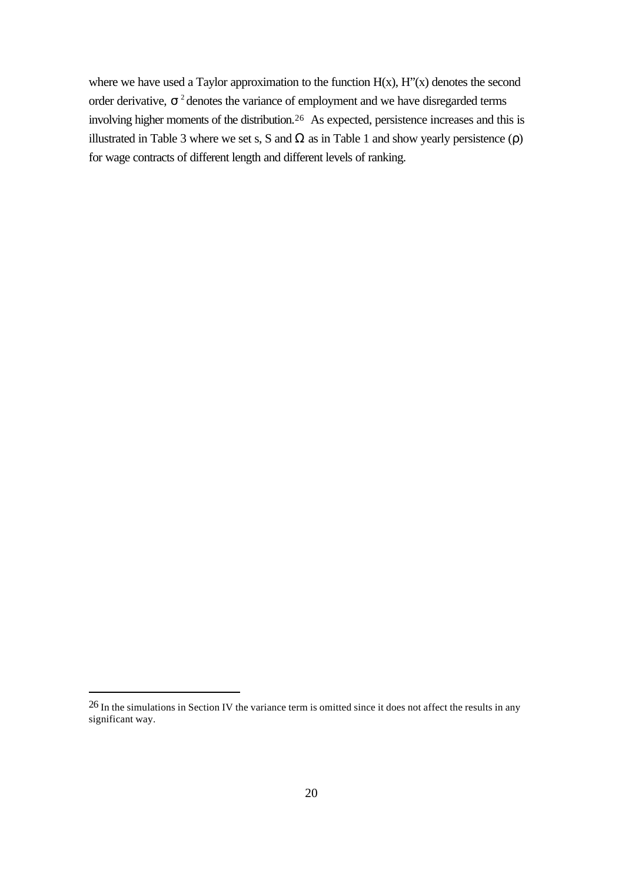where we have used a Taylor approximation to the function  $H(x)$ ,  $H''(x)$  denotes the second order derivative,  $s^2$  denotes the variance of employment and we have disregarded terms involving higher moments of the distribution.26 As expected, persistence increases and this is illustrated in Table 3 where we set s, S and  $\Omega$  as in Table 1 and show yearly persistence (ρ) for wage contracts of different length and different levels of ranking.

<sup>&</sup>lt;sup>26</sup> In the simulations in Section IV the variance term is omitted since it does not affect the results in any significant way.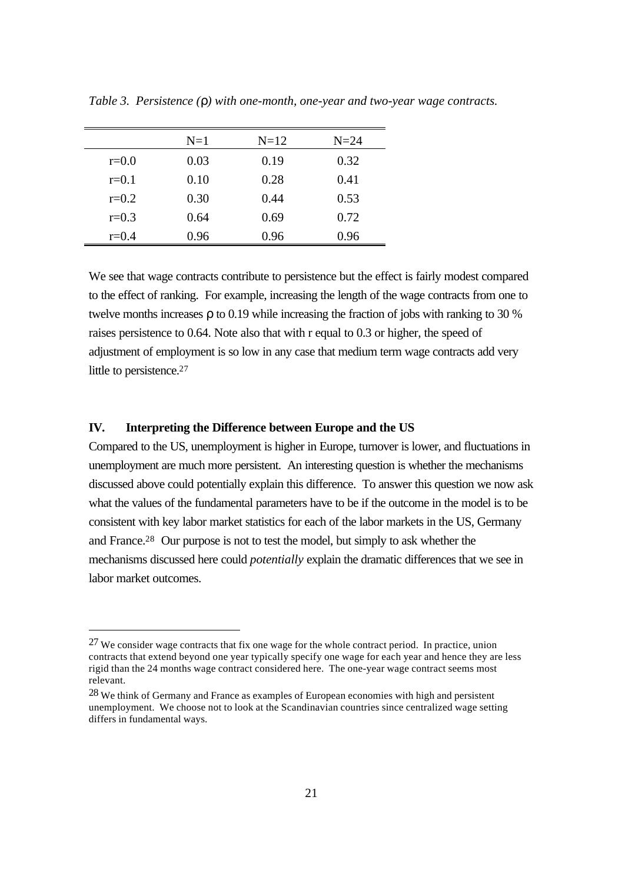|           | $N=1$ | $N=12$ | $N=24$ |
|-----------|-------|--------|--------|
| $r = 0.0$ | 0.03  | 0.19   | 0.32   |
| $r = 0.1$ | 0.10  | 0.28   | 0.41   |
| $r=0.2$   | 0.30  | 0.44   | 0.53   |
| $r=0.3$   | 0.64  | 0.69   | 0.72   |
| $r=0.4$   | 0.96  | 0.96   | 0.96   |

*Table 3. Persistence (r) with one-month, one-year and two-year wage contracts.*

We see that wage contracts contribute to persistence but the effect is fairly modest compared to the effect of ranking. For example, increasing the length of the wage contracts from one to twelve months increases ρ to 0.19 while increasing the fraction of jobs with ranking to 30 % raises persistence to 0.64. Note also that with r equal to 0.3 or higher, the speed of adjustment of employment is so low in any case that medium term wage contracts add very little to persistence.<sup>27</sup>

#### **IV. Interpreting the Difference between Europe and the US**

l

Compared to the US, unemployment is higher in Europe, turnover is lower, and fluctuations in unemployment are much more persistent. An interesting question is whether the mechanisms discussed above could potentially explain this difference. To answer this question we now ask what the values of the fundamental parameters have to be if the outcome in the model is to be consistent with key labor market statistics for each of the labor markets in the US, Germany and France.28 Our purpose is not to test the model, but simply to ask whether the mechanisms discussed here could *potentially* explain the dramatic differences that we see in labor market outcomes.

<sup>27</sup> We consider wage contracts that fix one wage for the whole contract period. In practice, union contracts that extend beyond one year typically specify one wage for each year and hence they are less rigid than the 24 months wage contract considered here. The one-year wage contract seems most relevant.

<sup>28</sup> We think of Germany and France as examples of European economies with high and persistent unemployment. We choose not to look at the Scandinavian countries since centralized wage setting differs in fundamental ways.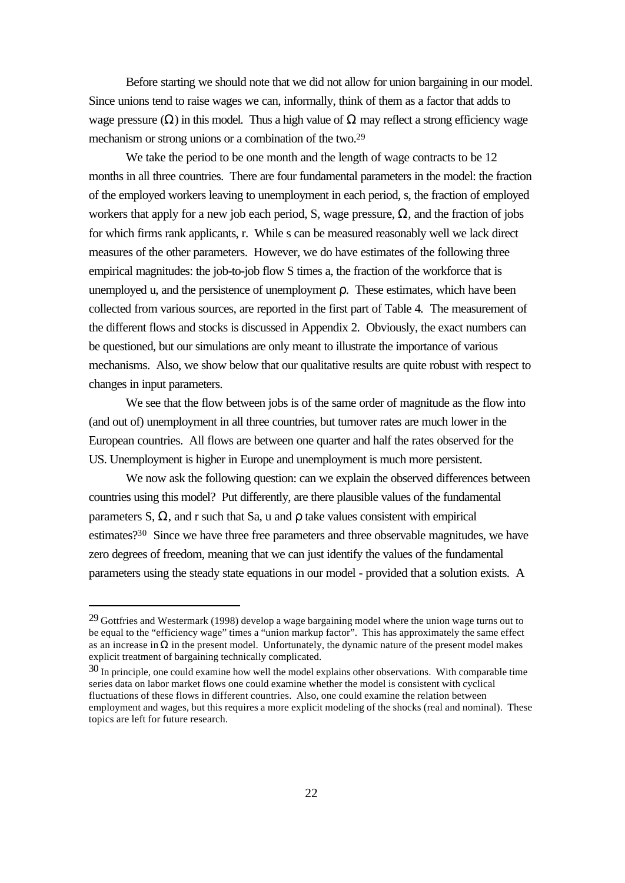Before starting we should note that we did not allow for union bargaining in our model. Since unions tend to raise wages we can, informally, think of them as a factor that adds to wage pressure  $(\Omega)$  in this model. Thus a high value of  $\Omega$  may reflect a strong efficiency wage mechanism or strong unions or a combination of the two.<sup>29</sup>

We take the period to be one month and the length of wage contracts to be 12 months in all three countries. There are four fundamental parameters in the model: the fraction of the employed workers leaving to unemployment in each period, s, the fraction of employed workers that apply for a new job each period, S, wage pressure,  $\Omega$ , and the fraction of jobs for which firms rank applicants, r. While s can be measured reasonably well we lack direct measures of the other parameters. However, we do have estimates of the following three empirical magnitudes: the job-to-job flow S times a, the fraction of the workforce that is unemployed u, and the persistence of unemployment ρ. These estimates, which have been collected from various sources, are reported in the first part of Table 4*.* The measurement of the different flows and stocks is discussed in Appendix 2. Obviously, the exact numbers can be questioned, but our simulations are only meant to illustrate the importance of various mechanisms. Also, we show below that our qualitative results are quite robust with respect to changes in input parameters.

We see that the flow between jobs is of the same order of magnitude as the flow into (and out of) unemployment in all three countries, but turnover rates are much lower in the European countries. All flows are between one quarter and half the rates observed for the US. Unemployment is higher in Europe and unemployment is much more persistent.

We now ask the following question: can we explain the observed differences between countries using this model? Put differently, are there plausible values of the fundamental parameters S,  $\Omega$ , and r such that Sa, u and  $\rho$  take values consistent with empirical estimates?30 Since we have three free parameters and three observable magnitudes, we have zero degrees of freedom, meaning that we can just identify the values of the fundamental parameters using the steady state equations in our model - provided that a solution exists. A

<sup>29</sup> Gottfries and Westermark (1998) develop a wage bargaining model where the union wage turns out to be equal to the "efficiency wage" times a "union markup factor". This has approximately the same effect as an increase in  $\Omega$  in the present model. Unfortunately, the dynamic nature of the present model makes explicit treatment of bargaining technically complicated.

<sup>30</sup> In principle, one could examine how well the model explains other observations. With comparable time series data on labor market flows one could examine whether the model is consistent with cyclical fluctuations of these flows in different countries. Also, one could examine the relation between employment and wages, but this requires a more explicit modeling of the shocks (real and nominal). These topics are left for future research.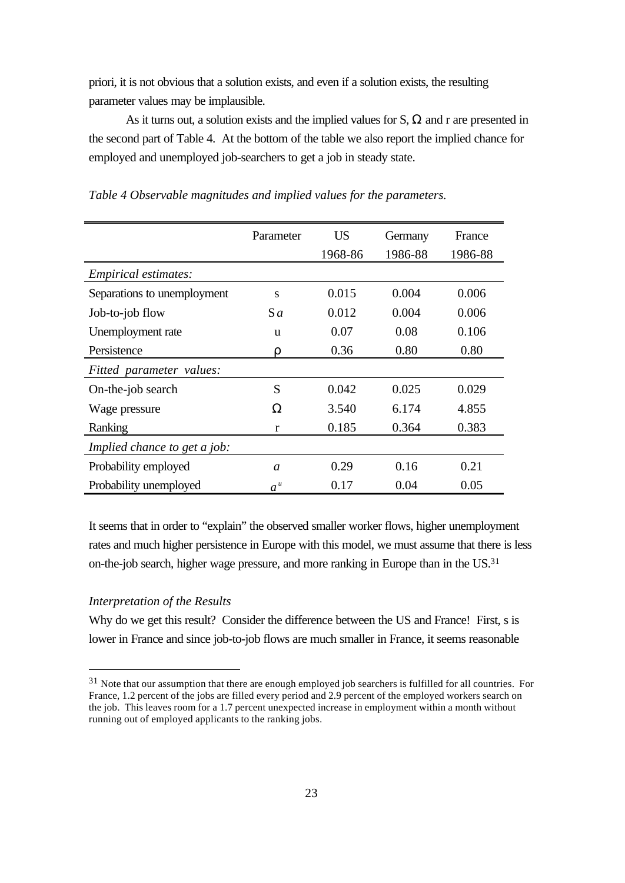priori, it is not obvious that a solution exists, and even if a solution exists, the resulting parameter values may be implausible.

As it turns out, a solution exists and the implied values for S,  $\Omega$  and r are presented in the second part of Table 4. At the bottom of the table we also report the implied chance for employed and unemployed job-searchers to get a job in steady state.

|                              | Parameter      | <b>US</b> | Germany | France  |
|------------------------------|----------------|-----------|---------|---------|
|                              |                | 1968-86   | 1986-88 | 1986-88 |
| <i>Empirical estimates:</i>  |                |           |         |         |
| Separations to unemployment  | S              | 0.015     | 0.004   | 0.006   |
| Job-to-job flow              | $S_a$          | 0.012     | 0.004   | 0.006   |
| Unemployment rate            | u              | 0.07      | 0.08    | 0.106   |
| Persistence                  | ρ              | 0.36      | 0.80    | 0.80    |
| Fitted parameter values:     |                |           |         |         |
| On-the-job search            | S              | 0.042     | 0.025   | 0.029   |
| Wage pressure                | Ω              | 3.540     | 6.174   | 4.855   |
| Ranking                      | r              | 0.185     | 0.364   | 0.383   |
| Implied chance to get a job: |                |           |         |         |
| Probability employed         | $\mathfrak a$  | 0.29      | 0.16    | 0.21    |
| Probability unemployed       | a <sup>u</sup> | 0.17      | 0.04    | 0.05    |

*Table 4 Observable magnitudes and implied values for the parameters.*

It seems that in order to "explain" the observed smaller worker flows, higher unemployment rates and much higher persistence in Europe with this model, we must assume that there is less on-the-job search, higher wage pressure, and more ranking in Europe than in the US.<sup>31</sup>

# *Interpretation of the Results*

l

Why do we get this result? Consider the difference between the US and France! First, s is lower in France and since job-to-job flows are much smaller in France, it seems reasonable

<sup>&</sup>lt;sup>31</sup> Note that our assumption that there are enough employed job searchers is fulfilled for all countries. For France, 1.2 percent of the jobs are filled every period and 2.9 percent of the employed workers search on the job. This leaves room for a 1.7 percent unexpected increase in employment within a month without running out of employed applicants to the ranking jobs.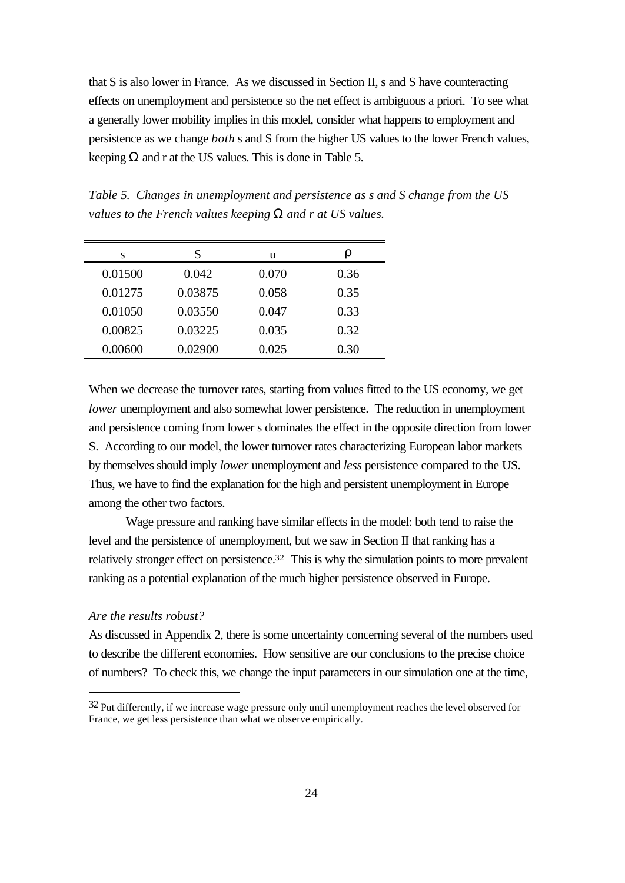that S is also lower in France. As we discussed in Section II, s and S have counteracting effects on unemployment and persistence so the net effect is ambiguous a priori. To see what a generally lower mobility implies in this model, consider what happens to employment and persistence as we change *both* s and S from the higher US values to the lower French values, keeping  $\Omega$  and r at the US values. This is done in Table 5.

*Table 5. Changes in unemployment and persistence as s and S change from the US values to the French values keeping W and r at US values.*

| S       | S       | u     | r    |
|---------|---------|-------|------|
| 0.01500 | 0.042   | 0.070 | 0.36 |
| 0.01275 | 0.03875 | 0.058 | 0.35 |
| 0.01050 | 0.03550 | 0.047 | 0.33 |
| 0.00825 | 0.03225 | 0.035 | 0.32 |
| 0.00600 | 0.02900 | 0.025 | 0.30 |

When we decrease the turnover rates, starting from values fitted to the US economy, we get *lower* unemployment and also somewhat lower persistence. The reduction in unemployment and persistence coming from lower s dominates the effect in the opposite direction from lower S. According to our model, the lower turnover rates characterizing European labor markets by themselves should imply *lower* unemployment and *less* persistence compared to the US. Thus, we have to find the explanation for the high and persistent unemployment in Europe among the other two factors.

Wage pressure and ranking have similar effects in the model: both tend to raise the level and the persistence of unemployment, but we saw in Section II that ranking has a relatively stronger effect on persistence.32 This is why the simulation points to more prevalent ranking as a potential explanation of the much higher persistence observed in Europe.

# *Are the results robust?*

l

As discussed in Appendix 2, there is some uncertainty concerning several of the numbers used to describe the different economies. How sensitive are our conclusions to the precise choice of numbers? To check this, we change the input parameters in our simulation one at the time,

 $32$  Put differently, if we increase wage pressure only until unemployment reaches the level observed for France, we get less persistence than what we observe empirically.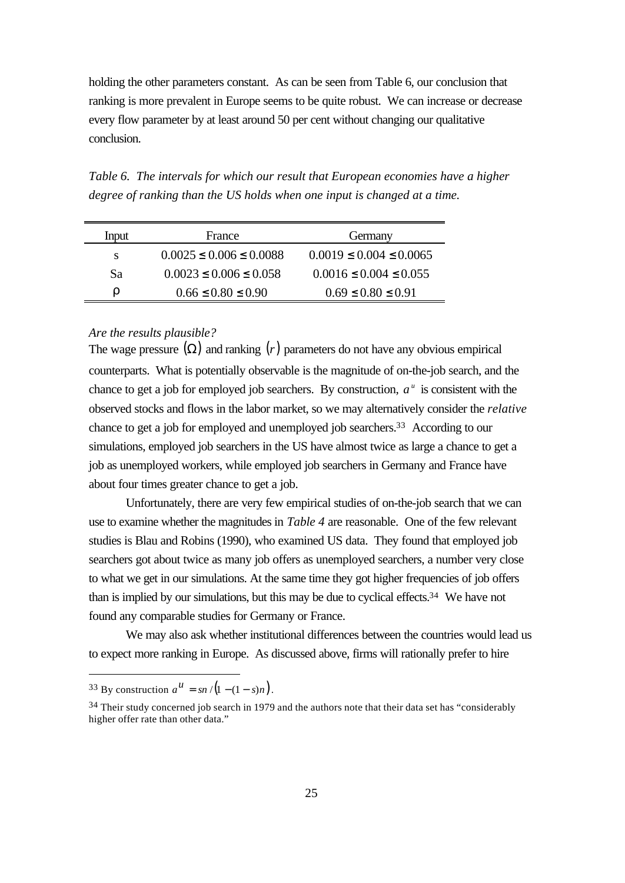holding the other parameters constant. As can be seen from Table 6, our conclusion that ranking is more prevalent in Europe seems to be quite robust. We can increase or decrease every flow parameter by at least around 50 per cent without changing our qualitative conclusion.

*Table 6. The intervals for which our result that European economies have a higher degree of ranking than the US holds when one input is changed at a time.*

| Input | France                        | Germany                       |  |  |
|-------|-------------------------------|-------------------------------|--|--|
| S     | $0.0025 \le 0.006 \le 0.0088$ | $0.0019 \le 0.004 \le 0.0065$ |  |  |
| Sa    | $0.0023 \le 0.006 \le 0.058$  | $0.0016 \le 0.004 \le 0.055$  |  |  |
| r     | $0.66 \le 0.80 \le 0.90$      | $0.69 \le 0.80 \le 0.91$      |  |  |

# *Are the results plausible?*

The wage pressure  $(\Omega)$  and ranking  $(r)$  parameters do not have any obvious empirical counterparts. What is potentially observable is the magnitude of on-the-job search, and the chance to get a job for employed job searchers. By construction,  $a^u$  is consistent with the observed stocks and flows in the labor market, so we may alternatively consider the *relative* chance to get a job for employed and unemployed job searchers.33 According to our simulations, employed job searchers in the US have almost twice as large a chance to get a job as unemployed workers, while employed job searchers in Germany and France have about four times greater chance to get a job.

Unfortunately, there are very few empirical studies of on-the-job search that we can use to examine whether the magnitudes in *Table 4* are reasonable. One of the few relevant studies is Blau and Robins (1990), who examined US data. They found that employed job searchers got about twice as many job offers as unemployed searchers, a number very close to what we get in our simulations. At the same time they got higher frequencies of job offers than is implied by our simulations, but this may be due to cyclical effects.34 We have not found any comparable studies for Germany or France.

We may also ask whether institutional differences between the countries would lead us to expect more ranking in Europe. As discussed above, firms will rationally prefer to hire

<sup>&</sup>lt;sup>33</sup> By construction  $a^{\mu} = sn / (1 - (1 - s)n)$ .

<sup>34</sup> Their study concerned job search in 1979 and the authors note that their data set has "considerably higher offer rate than other data."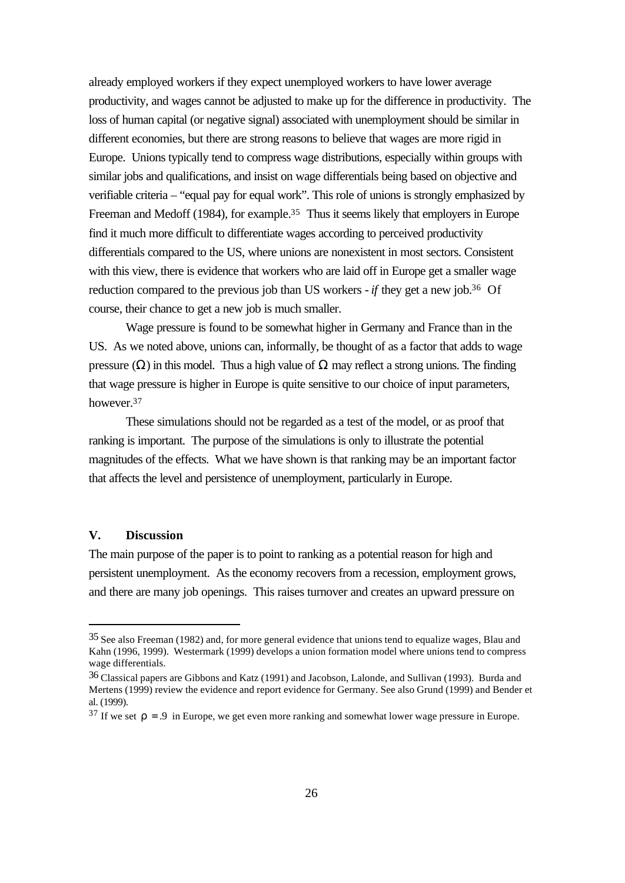already employed workers if they expect unemployed workers to have lower average productivity, and wages cannot be adjusted to make up for the difference in productivity. The loss of human capital (or negative signal) associated with unemployment should be similar in different economies, but there are strong reasons to believe that wages are more rigid in Europe. Unions typically tend to compress wage distributions, especially within groups with similar jobs and qualifications, and insist on wage differentials being based on objective and verifiable criteria – "equal pay for equal work". This role of unions is strongly emphasized by Freeman and Medoff (1984), for example.<sup>35</sup> Thus it seems likely that employers in Europe find it much more difficult to differentiate wages according to perceived productivity differentials compared to the US, where unions are nonexistent in most sectors. Consistent with this view, there is evidence that workers who are laid off in Europe get a smaller wage reduction compared to the previous job than US workers - *if* they get a new job.36 Of course, their chance to get a new job is much smaller.

Wage pressure is found to be somewhat higher in Germany and France than in the US. As we noted above, unions can, informally, be thought of as a factor that adds to wage pressure (Ω) in this model. Thus a high value of  $Ω$  may reflect a strong unions. The finding that wage pressure is higher in Europe is quite sensitive to our choice of input parameters, however.<sup>37</sup>

These simulations should not be regarded as a test of the model, or as proof that ranking is important. The purpose of the simulations is only to illustrate the potential magnitudes of the effects. What we have shown is that ranking may be an important factor that affects the level and persistence of unemployment, particularly in Europe.

# **V. Discussion**

l

The main purpose of the paper is to point to ranking as a potential reason for high and persistent unemployment. As the economy recovers from a recession, employment grows, and there are many job openings. This raises turnover and creates an upward pressure on

<sup>35</sup> See also Freeman (1982) and, for more general evidence that unions tend to equalize wages, Blau and Kahn (1996, 1999). Westermark (1999) develops a union formation model where unions tend to compress wage differentials.

<sup>36</sup> Classical papers are Gibbons and Katz (1991) and Jacobson, Lalonde, and Sullivan (1993). Burda and Mertens (1999) review the evidence and report evidence for Germany. See also Grund (1999) and Bender et al. (1999).

 $37$  If we set  $\mathbf{r} = .9$  in Europe, we get even more ranking and somewhat lower wage pressure in Europe.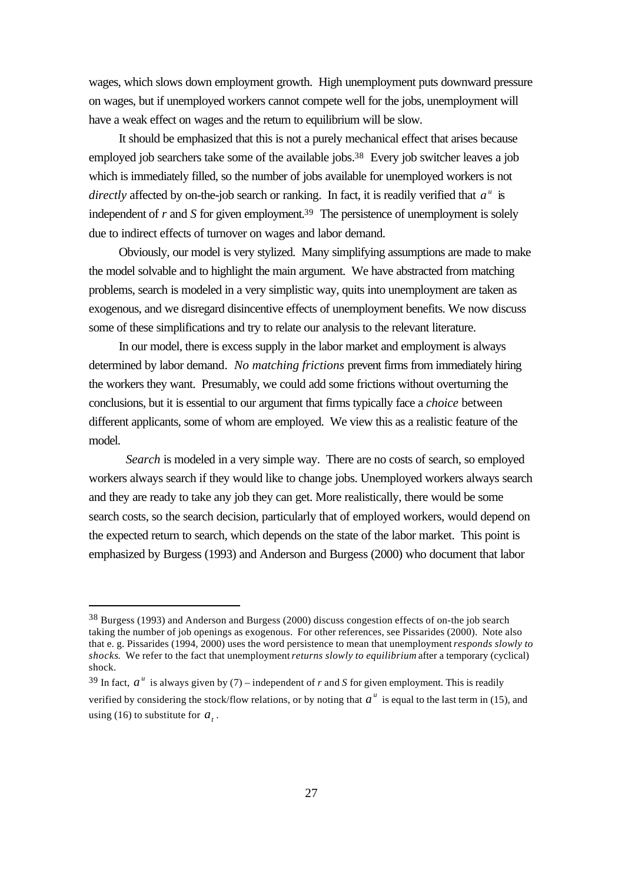wages, which slows down employment growth. High unemployment puts downward pressure on wages, but if unemployed workers cannot compete well for the jobs, unemployment will have a weak effect on wages and the return to equilibrium will be slow.

It should be emphasized that this is not a purely mechanical effect that arises because employed job searchers take some of the available jobs.<sup>38</sup> Every job switcher leaves a job which is immediately filled, so the number of jobs available for unemployed workers is not *directly* affected by on-the-job search or ranking. In fact, it is readily verified that  $a^u$  is independent of *r* and *S* for given employment.<sup>39</sup> The persistence of unemployment is solely due to indirect effects of turnover on wages and labor demand.

Obviously, our model is very stylized. Many simplifying assumptions are made to make the model solvable and to highlight the main argument. We have abstracted from matching problems, search is modeled in a very simplistic way, quits into unemployment are taken as exogenous, and we disregard disincentive effects of unemployment benefits. We now discuss some of these simplifications and try to relate our analysis to the relevant literature.

In our model, there is excess supply in the labor market and employment is always determined by labor demand*. No matching frictions* prevent firms from immediately hiring the workers they want. Presumably, we could add some frictions without overturning the conclusions, but it is essential to our argument that firms typically face a *choice* between different applicants, some of whom are employed. We view this as a realistic feature of the model.

*Search* is modeled in a very simple way. There are no costs of search, so employed workers always search if they would like to change jobs. Unemployed workers always search and they are ready to take any job they can get. More realistically, there would be some search costs, so the search decision, particularly that of employed workers, would depend on the expected return to search, which depends on the state of the labor market. This point is emphasized by Burgess (1993) and Anderson and Burgess (2000) who document that labor

<sup>38</sup> Burgess (1993) and Anderson and Burgess (2000) discuss congestion effects of on-the job search taking the number of job openings as exogenous. For other references, see Pissarides (2000). Note also that e. g. Pissarides (1994, 2000) uses the word persistence to mean that unemployment *responds slowly to shocks*. We refer to the fact that unemployment *returns slowly to equilibrium* after a temporary (cyclical) shock.

<sup>&</sup>lt;sup>39</sup> In fact,  $a^u$  is always given by (7) – independent of *r* and *S* for given employment. This is readily verified by considering the stock/flow relations, or by noting that  $a^u$  is equal to the last term in (15), and using (16) to substitute for  $a_t$ .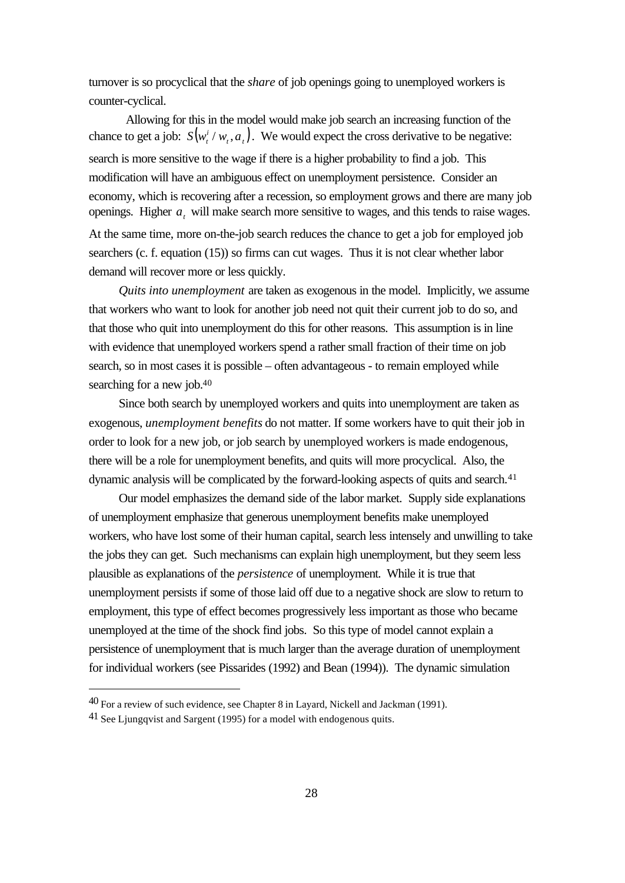turnover is so procyclical that the *share* of job openings going to unemployed workers is counter-cyclical.

Allowing for this in the model would make job search an increasing function of the chance to get a job:  $S(w_t^i / w_t, a_t)$  $S(w_t^i / w_t, a_t)$ . We would expect the cross derivative to be negative: search is more sensitive to the wage if there is a higher probability to find a job. This modification will have an ambiguous effect on unemployment persistence. Consider an economy, which is recovering after a recession, so employment grows and there are many job openings. Higher *a<sup>t</sup>* will make search more sensitive to wages, and this tends to raise wages. At the same time, more on-the-job search reduces the chance to get a job for employed job searchers (c. f. equation (15)) so firms can cut wages. Thus it is not clear whether labor demand will recover more or less quickly.

*Quits into unemployment* are taken as exogenous in the model. Implicitly, we assume that workers who want to look for another job need not quit their current job to do so, and that those who quit into unemployment do this for other reasons. This assumption is in line with evidence that unemployed workers spend a rather small fraction of their time on job search, so in most cases it is possible – often advantageous - to remain employed while searching for a new job.<sup>40</sup>

Since both search by unemployed workers and quits into unemployment are taken as exogenous, *unemployment benefits* do not matter. If some workers have to quit their job in order to look for a new job, or job search by unemployed workers is made endogenous, there will be a role for unemployment benefits, and quits will more procyclical. Also, the dynamic analysis will be complicated by the forward-looking aspects of quits and search.<sup>41</sup>

Our model emphasizes the demand side of the labor market. Supply side explanations of unemployment emphasize that generous unemployment benefits make unemployed workers, who have lost some of their human capital, search less intensely and unwilling to take the jobs they can get. Such mechanisms can explain high unemployment, but they seem less plausible as explanations of the *persistence* of unemployment. While it is true that unemployment persists if some of those laid off due to a negative shock are slow to return to employment, this type of effect becomes progressively less important as those who became unemployed at the time of the shock find jobs. So this type of model cannot explain a persistence of unemployment that is much larger than the average duration of unemployment for individual workers (see Pissarides (1992) and Bean (1994)). The dynamic simulation

<sup>40</sup> For a review of such evidence, see Chapter 8 in Layard, Nickell and Jackman (1991).

<sup>41</sup> See Ljungqvist and Sargent (1995) for a model with endogenous quits.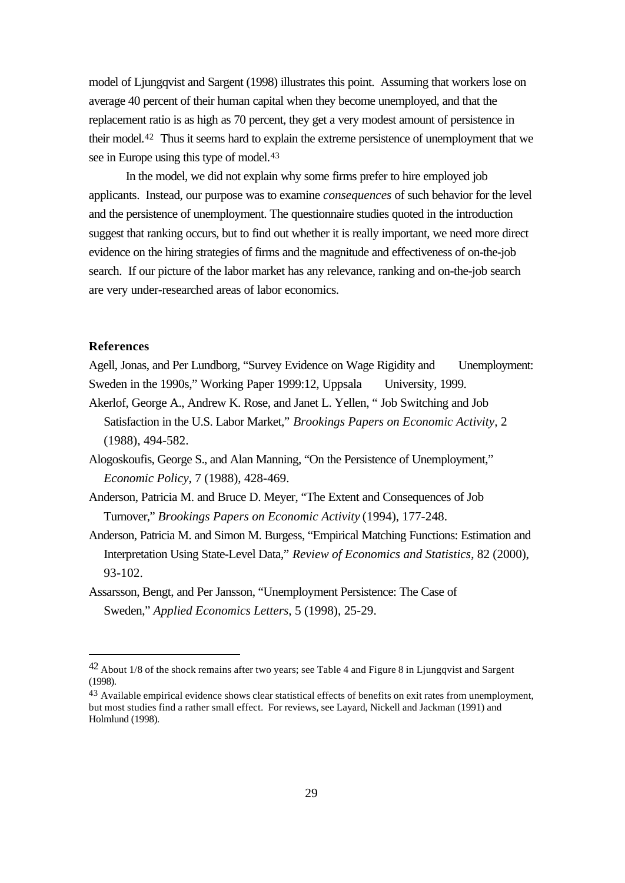model of Ljungqvist and Sargent (1998) illustrates this point. Assuming that workers lose on average 40 percent of their human capital when they become unemployed, and that the replacement ratio is as high as 70 percent, they get a very modest amount of persistence in their model.42 Thus it seems hard to explain the extreme persistence of unemployment that we see in Europe using this type of model.<sup>43</sup>

In the model, we did not explain why some firms prefer to hire employed job applicants. Instead, our purpose was to examine *consequences* of such behavior for the level and the persistence of unemployment. The questionnaire studies quoted in the introduction suggest that ranking occurs, but to find out whether it is really important, we need more direct evidence on the hiring strategies of firms and the magnitude and effectiveness of on-the-job search. If our picture of the labor market has any relevance, ranking and on-the-job search are very under-researched areas of labor economics.

#### **References**

l

Agell, Jonas, and Per Lundborg, "Survey Evidence on Wage Rigidity and Unemployment: Sweden in the 1990s," Working Paper 1999:12, Uppsala University, 1999.

- Akerlof, George A., Andrew K. Rose, and Janet L. Yellen, " Job Switching and Job Satisfaction in the U.S. Labor Market," *Brookings Papers on Economic Activity,* 2 (1988), 494-582.
- Alogoskoufis, George S., and Alan Manning, "On the Persistence of Unemployment," *Economic Policy*, 7 (1988), 428-469.
- Anderson, Patricia M. and Bruce D. Meyer, "The Extent and Consequences of Job Turnover," *Brookings Papers on Economic Activity* (1994), 177-248.
- Anderson, Patricia M. and Simon M. Burgess, "Empirical Matching Functions: Estimation and Interpretation Using State-Level Data," *Review of Economics and Statistics*, 82 (2000), 93-102.
- Assarsson, Bengt, and Per Jansson, "Unemployment Persistence: The Case of Sweden," *Applied Economics Letters*, 5 (1998), 25-29.

<sup>42</sup> About 1/8 of the shock remains after two years; see Table 4 and Figure 8 in Ljungqvist and Sargent (1998).

<sup>&</sup>lt;sup>43</sup> Available empirical evidence shows clear statistical effects of benefits on exit rates from unemployment, but most studies find a rather small effect. For reviews, see Layard, Nickell and Jackman (1991) and Holmlund (1998).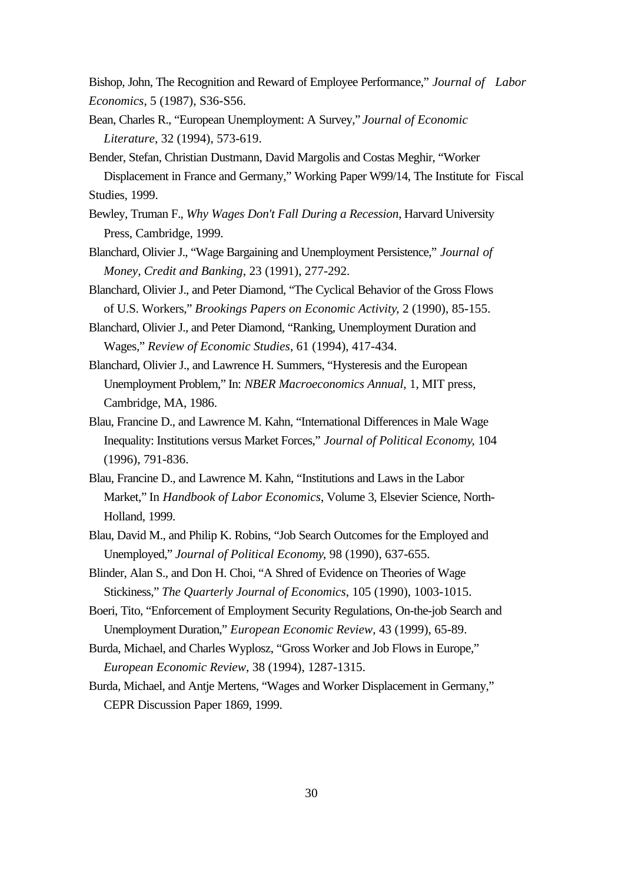Bishop, John, The Recognition and Reward of Employee Performance," *Journal of Labor Economics*, 5 (1987), S36-S56.

- Bean, Charles R., "European Unemployment: A Survey," *Journal of Economic Literature*, 32 (1994), 573-619.
- Bender, Stefan, Christian Dustmann, David Margolis and Costas Meghir, "Worker Displacement in France and Germany," Working Paper W99/14, The Institute for Fiscal Studies, 1999.
- Bewley, Truman F., *Why Wages Don't Fall During a Recession*, Harvard University Press, Cambridge, 1999.
- Blanchard, Olivier J., "Wage Bargaining and Unemployment Persistence," *Journal of Money, Credit and Banking*, 23 (1991), 277-292.
- Blanchard, Olivier J., and Peter Diamond, "The Cyclical Behavior of the Gross Flows of U.S. Workers," *Brookings Papers on Economic Activity*, 2 (1990), 85-155.
- Blanchard, Olivier J., and Peter Diamond, "Ranking, Unemployment Duration and Wages," *Review of Economic Studies*, 61 (1994), 417-434.
- Blanchard, Olivier J., and Lawrence H. Summers, "Hysteresis and the European Unemployment Problem," In: *NBER Macroeconomics Annual*, 1, MIT press, Cambridge, MA, 1986.
- Blau, Francine D., and Lawrence M. Kahn, "International Differences in Male Wage Inequality: Institutions versus Market Forces," *Journal of Political Economy*, 104 (1996), 791-836.
- Blau, Francine D., and Lawrence M. Kahn, "Institutions and Laws in the Labor Market," In *Handbook of Labor Economics*, Volume 3, Elsevier Science, North-Holland, 1999.
- Blau, David M., and Philip K. Robins, "Job Search Outcomes for the Employed and Unemployed," *Journal of Political Economy*, 98 (1990), 637-655.
- Blinder, Alan S., and Don H. Choi, "A Shred of Evidence on Theories of Wage Stickiness," *The Quarterly Journal of Economics*, 105 (1990), 1003-1015.
- Boeri, Tito, "Enforcement of Employment Security Regulations, On-the-job Search and Unemployment Duration," *European Economic Review*, 43 (1999), 65-89.
- Burda, Michael, and Charles Wyplosz, "Gross Worker and Job Flows in Europe," *European Economic Review*, 38 (1994), 1287-1315.
- Burda, Michael, and Antje Mertens, "Wages and Worker Displacement in Germany," CEPR Discussion Paper 1869, 1999.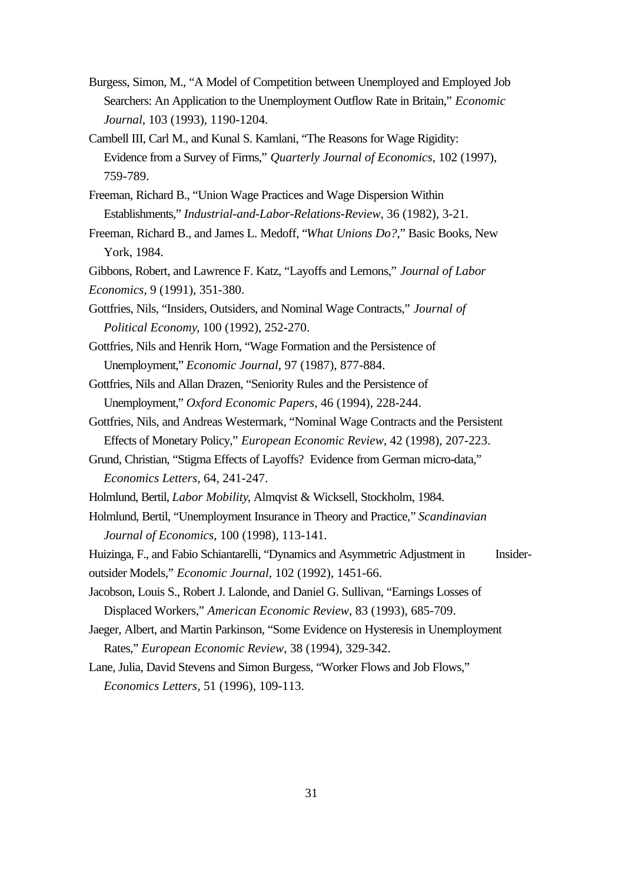- Burgess, Simon, M., "A Model of Competition between Unemployed and Employed Job Searchers: An Application to the Unemployment Outflow Rate in Britain," *Economic Journal*, 103 (1993), 1190-1204.
- Cambell III, Carl M., and Kunal S. Kamlani, "The Reasons for Wage Rigidity: Evidence from a Survey of Firms," *Quarterly Journal of Economics*, 102 (1997), 759-789.
- Freeman, Richard B., "Union Wage Practices and Wage Dispersion Within Establishments," *Industrial-and-Labor-Relations-Review*, 36 (1982), 3-21.
- Freeman, Richard B., and James L. Medoff, "*What Unions Do?*," Basic Books, New York, 1984.
- Gibbons, Robert, and Lawrence F. Katz, "Layoffs and Lemons," *Journal of Labor Economics*, 9 (1991), 351-380.
- Gottfries, Nils, "Insiders, Outsiders, and Nominal Wage Contracts," *Journal of Political Economy*, 100 (1992), 252-270.
- Gottfries, Nils and Henrik Horn, "Wage Formation and the Persistence of Unemployment," *Economic Journal*, 97 (1987), 877-884.
- Gottfries, Nils and Allan Drazen, "Seniority Rules and the Persistence of Unemployment," *Oxford Economic Papers*, 46 (1994), 228-244.
- Gottfries, Nils, and Andreas Westermark, "Nominal Wage Contracts and the Persistent Effects of Monetary Policy," *European Economic Review*, 42 (1998), 207-223.
- Grund, Christian, "Stigma Effects of Layoffs? Evidence from German micro-data," *Economics Letters*, 64, 241-247.
- Holmlund, Bertil, *Labor Mobility*, Almqvist & Wicksell, Stockholm, 1984.
- Holmlund, Bertil, "Unemployment Insurance in Theory and Practice*,*" *Scandinavian Journal of Economics*, 100 (1998), 113-141.
- Huizinga, F., and Fabio Schiantarelli, "Dynamics and Asymmetric Adjustment in Insideroutsider Models," *Economic Journal*, 102 (1992), 1451-66.
- Jacobson, Louis S., Robert J. Lalonde, and Daniel G. Sullivan, "Earnings Losses of Displaced Workers," *American Economic Review*, 83 (1993), 685-709.
- Jaeger, Albert, and Martin Parkinson, "Some Evidence on Hysteresis in Unemployment Rates," *European Economic Review*, 38 (1994), 329-342.
- Lane, Julia, David Stevens and Simon Burgess, "Worker Flows and Job Flows," *Economics Letters,* 51 (1996), 109-113.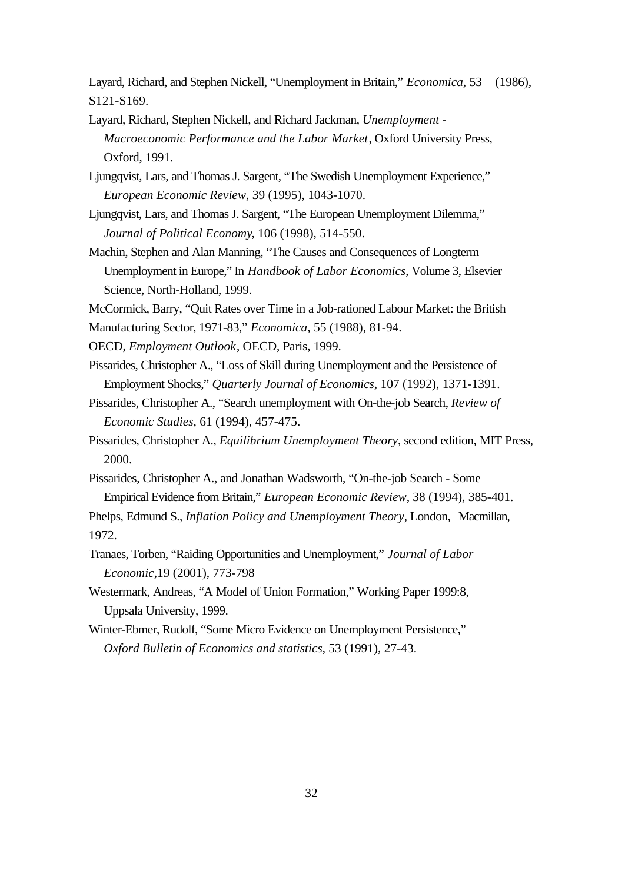Layard, Richard, and Stephen Nickell, "Unemployment in Britain," *Economica*, 53 (1986), S121-S169.

- Layard, Richard, Stephen Nickell, and Richard Jackman, *Unemployment Macroeconomic Performance and the Labor Market*, Oxford University Press, Oxford, 1991.
- Ljungqvist, Lars, and Thomas J. Sargent, "The Swedish Unemployment Experience," *European Economic Review*, 39 (1995), 1043-1070.
- Ljungqvist, Lars, and Thomas J. Sargent, "The European Unemployment Dilemma," *Journal of Political Economy*, 106 (1998), 514-550.
- Machin, Stephen and Alan Manning, "The Causes and Consequences of Longterm Unemployment in Europe," In *Handbook of Labor Economics*, Volume 3, Elsevier Science, North-Holland, 1999.
- McCormick, Barry, "Quit Rates over Time in a Job-rationed Labour Market: the British
- Manufacturing Sector, 1971-83," *Economica*, 55 (1988), 81-94.
- OECD, *Employment Outlook*, OECD, Paris, 1999.
- Pissarides, Christopher A., "Loss of Skill during Unemployment and the Persistence of Employment Shocks," *Quarterly Journal of Economics*, 107 (1992), 1371-1391.
- Pissarides, Christopher A., "Search unemployment with On-the-job Search, *Review of Economic Studies,* 61 (1994), 457-475.
- Pissarides, Christopher A., *Equilibrium Unemployment Theory*, second edition, MIT Press, 2000.
- Pissarides, Christopher A., and Jonathan Wadsworth, "On-the-job Search Some Empirical Evidence from Britain," *European Economic Review*, 38 (1994), 385-401.
- Phelps, Edmund S., *Inflation Policy and Unemployment Theory*, London, Macmillan, 1972.
- Tranaes, Torben, "Raiding Opportunities and Unemployment," *Journal of Labor Economic*,19 (2001), 773-798
- Westermark, Andreas, "A Model of Union Formation," Working Paper 1999:8, Uppsala University, 1999.
- Winter-Ebmer, Rudolf, "Some Micro Evidence on Unemployment Persistence," *Oxford Bulletin of Economics and statistics*, 53 (1991), 27-43.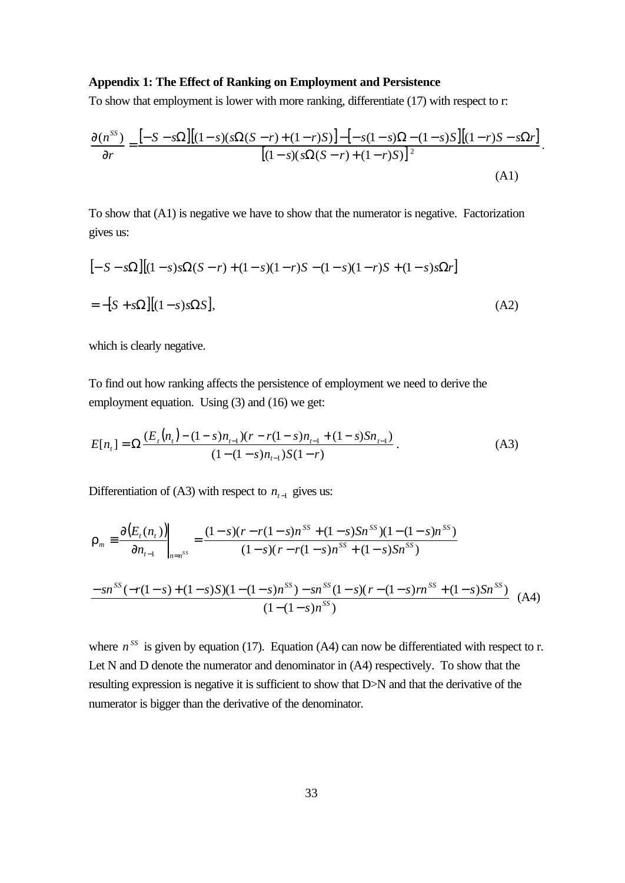#### **Appendix 1: The Effect of Ranking on Employment and Persistence**

To show that employment is lower with more ranking, differentiate (17) with respect to r:

$$
\frac{\partial(n^{SS})}{\partial r} = \frac{\left[-S - s\Omega\right]\left[(1 - s)(s\Omega(S - r) + (1 - r)S)\right] - \left[-s(1 - s)\Omega - (1 - s)S\right]\left[(1 - r)S - s\Omega r\right]}{\left[(1 - s)(s\Omega(S - r) + (1 - r)S)\right]^2}.
$$
\n(A1)

To show that (A1) is negative we have to show that the numerator is negative. Factorization gives us:

$$
[-S - s\Omega][(1 - s)s\Omega(S - r) + (1 - s)(1 - r)S - (1 - s)(1 - r)S + (1 - s)s\Omega r]
$$
  
= -[S + s\Omega][(1 - s)s\Omega S], (A2)

which is clearly negative.

To find out how ranking affects the persistence of employment we need to derive the employment equation. Using (3) and (16) we get:

$$
E[n_t] = \Omega \frac{(E_t(n_t) - (1 - s)n_{t-1})(r - r(1 - s)n_{t-1} + (1 - s)Sn_{t-1})}{(1 - (1 - s)n_{t-1})S(1 - r)}.
$$
\n(A3)

Differentiation of (A3) with respect to  $n_{t-1}$  gives us:

$$
\mathbf{r}_{m} \equiv \frac{\partial (E_{t}(n_{t}))}{\partial n_{t-1}}\Big|_{n=n^{SS}} = \frac{(1-s)(r-r(1-s)n^{SS} + (1-s)Sn^{SS})(1-(1-s)n^{SS})}{(1-s)(r-r(1-s)n^{SS} + (1-s)Sn^{SS})}
$$
\n
$$
\frac{-sn^{SS}(-r(1-s)+(1-s)S)(1-(1-s)n^{SS}) - sn^{SS}(1-s)(r-(1-s)n^{SS} + (1-s)Sn^{SS})}{(1-(1-s)n^{SS})} \quad (A4)
$$

where  $n^{SS}$  is given by equation (17). Equation (A4) can now be differentiated with respect to r. Let N and D denote the numerator and denominator in (A4) respectively. To show that the resulting expression is negative it is sufficient to show that D>N and that the derivative of the numerator is bigger than the derivative of the denominator.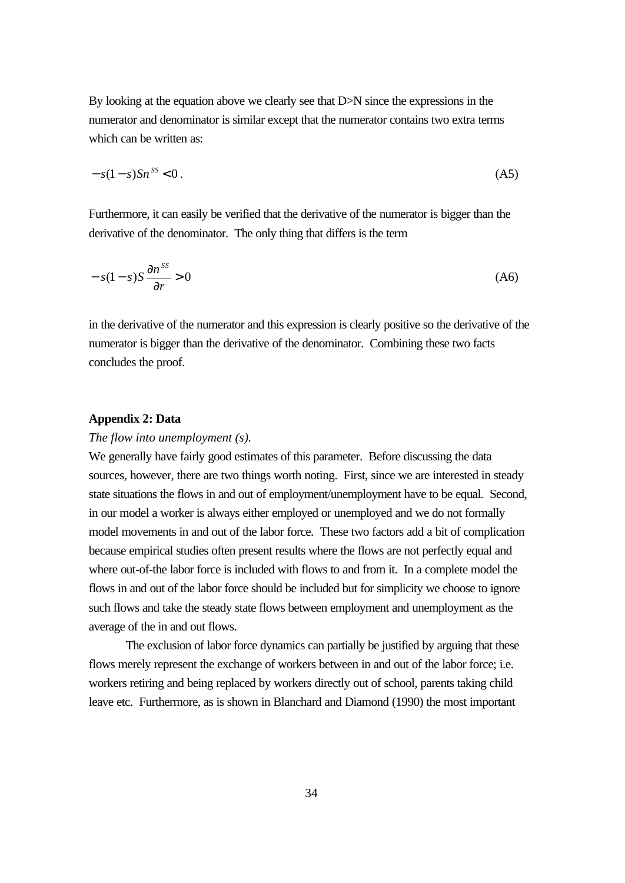By looking at the equation above we clearly see that D>N since the expressions in the numerator and denominator is similar except that the numerator contains two extra terms which can be written as:

$$
-s(1-s)Sn^{SS} < 0\,. \tag{A5}
$$

Furthermore, it can easily be verified that the derivative of the numerator is bigger than the derivative of the denominator. The only thing that differs is the term

$$
-s(1-s)S\frac{\partial n^{ss}}{\partial r} > 0\tag{A6}
$$

in the derivative of the numerator and this expression is clearly positive so the derivative of the numerator is bigger than the derivative of the denominator. Combining these two facts concludes the proof.

#### **Appendix 2: Data**

#### *The flow into unemployment (s).*

We generally have fairly good estimates of this parameter. Before discussing the data sources, however, there are two things worth noting. First, since we are interested in steady state situations the flows in and out of employment/unemployment have to be equal. Second, in our model a worker is always either employed or unemployed and we do not formally model movements in and out of the labor force. These two factors add a bit of complication because empirical studies often present results where the flows are not perfectly equal and where out-of-the labor force is included with flows to and from it. In a complete model the flows in and out of the labor force should be included but for simplicity we choose to ignore such flows and take the steady state flows between employment and unemployment as the average of the in and out flows.

The exclusion of labor force dynamics can partially be justified by arguing that these flows merely represent the exchange of workers between in and out of the labor force; i.e. workers retiring and being replaced by workers directly out of school, parents taking child leave etc. Furthermore, as is shown in Blanchard and Diamond (1990) the most important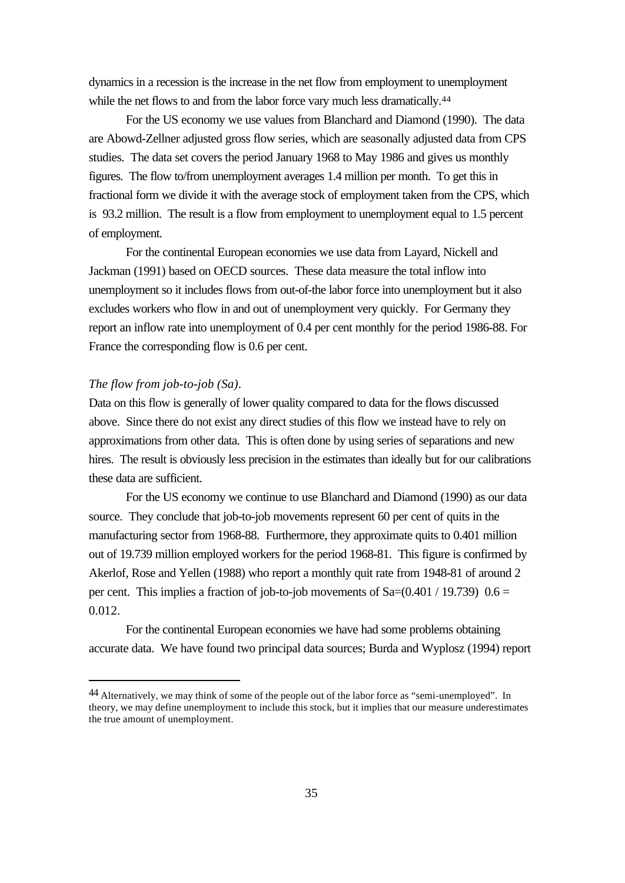dynamics in a recession is the increase in the net flow from employment to unemployment while the net flows to and from the labor force vary much less dramatically.<sup>44</sup>

For the US economy we use values from Blanchard and Diamond (1990). The data are Abowd-Zellner adjusted gross flow series, which are seasonally adjusted data from CPS studies. The data set covers the period January 1968 to May 1986 and gives us monthly figures. The flow to/from unemployment averages 1.4 million per month. To get this in fractional form we divide it with the average stock of employment taken from the CPS, which is 93.2 million. The result is a flow from employment to unemployment equal to 1.5 percent of employment.

For the continental European economies we use data from Layard, Nickell and Jackman (1991) based on OECD sources. These data measure the total inflow into unemployment so it includes flows from out-of-the labor force into unemployment but it also excludes workers who flow in and out of unemployment very quickly. For Germany they report an inflow rate into unemployment of 0.4 per cent monthly for the period 1986-88. For France the corresponding flow is 0.6 per cent.

# *The flow from job-to-job (Sa)*.

l

Data on this flow is generally of lower quality compared to data for the flows discussed above. Since there do not exist any direct studies of this flow we instead have to rely on approximations from other data. This is often done by using series of separations and new hires. The result is obviously less precision in the estimates than ideally but for our calibrations these data are sufficient.

For the US economy we continue to use Blanchard and Diamond (1990) as our data source. They conclude that job-to-job movements represent 60 per cent of quits in the manufacturing sector from 1968-88. Furthermore, they approximate quits to 0.401 million out of 19.739 million employed workers for the period 1968-81. This figure is confirmed by Akerlof, Rose and Yellen (1988) who report a monthly quit rate from 1948-81 of around 2 per cent. This implies a fraction of job-to-job movements of  $Sa=(0.401 / 19.739)$  0.6 = 0.012.

For the continental European economies we have had some problems obtaining accurate data. We have found two principal data sources; Burda and Wyplosz (1994) report

<sup>44</sup> Alternatively, we may think of some of the people out of the labor force as "semi-unemployed". In theory, we may define unemployment to include this stock, but it implies that our measure underestimates the true amount of unemployment.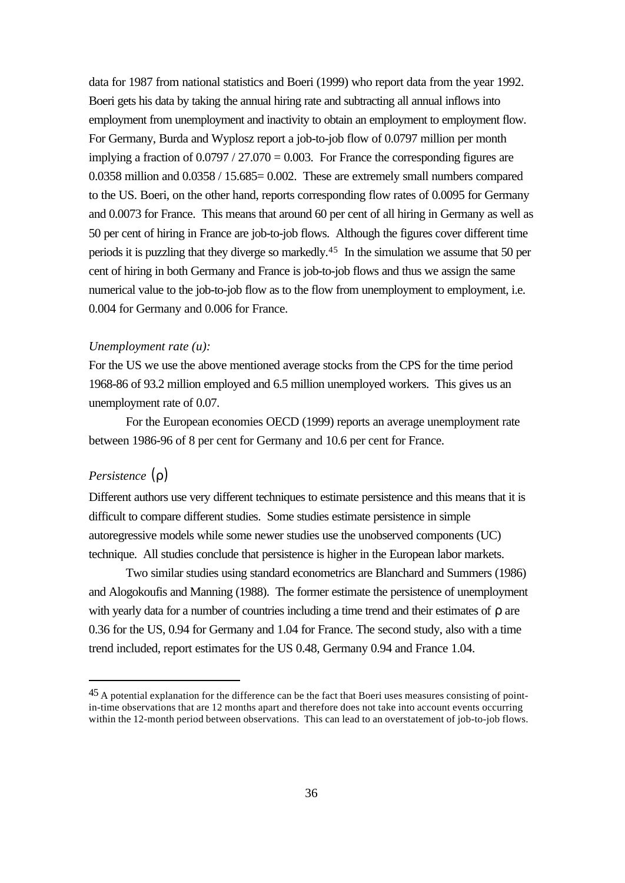data for 1987 from national statistics and Boeri (1999) who report data from the year 1992. Boeri gets his data by taking the annual hiring rate and subtracting all annual inflows into employment from unemployment and inactivity to obtain an employment to employment flow. For Germany, Burda and Wyplosz report a job-to-job flow of 0.0797 million per month implying a fraction of  $0.0797 / 27.070 = 0.003$ . For France the corresponding figures are 0.0358 million and 0.0358 / 15.685= 0.002. These are extremely small numbers compared to the US. Boeri, on the other hand, reports corresponding flow rates of 0.0095 for Germany and 0.0073 for France. This means that around 60 per cent of all hiring in Germany as well as 50 per cent of hiring in France are job-to-job flows. Although the figures cover different time periods it is puzzling that they diverge so markedly.45 In the simulation we assume that 50 per cent of hiring in both Germany and France is job-to-job flows and thus we assign the same numerical value to the job-to-job flow as to the flow from unemployment to employment, i.e. 0.004 for Germany and 0.006 for France.

#### *Unemployment rate (u):*

For the US we use the above mentioned average stocks from the CPS for the time period 1968-86 of 93.2 million employed and 6.5 million unemployed workers. This gives us an unemployment rate of 0.07.

For the European economies OECD (1999) reports an average unemployment rate between 1986-96 of 8 per cent for Germany and 10.6 per cent for France.

# *Persistence* (*r*)

l

Different authors use very different techniques to estimate persistence and this means that it is difficult to compare different studies. Some studies estimate persistence in simple autoregressive models while some newer studies use the unobserved components (UC) technique. All studies conclude that persistence is higher in the European labor markets.

Two similar studies using standard econometrics are Blanchard and Summers (1986) and Alogokoufis and Manning (1988). The former estimate the persistence of unemployment with yearly data for a number of countries including a time trend and their estimates of ρ are 0.36 for the US, 0.94 for Germany and 1.04 for France. The second study, also with a time trend included, report estimates for the US 0.48, Germany 0.94 and France 1.04.

<sup>45</sup> A potential explanation for the difference can be the fact that Boeri uses measures consisting of pointin-time observations that are 12 months apart and therefore does not take into account events occurring within the 12-month period between observations. This can lead to an overstatement of job-to-job flows.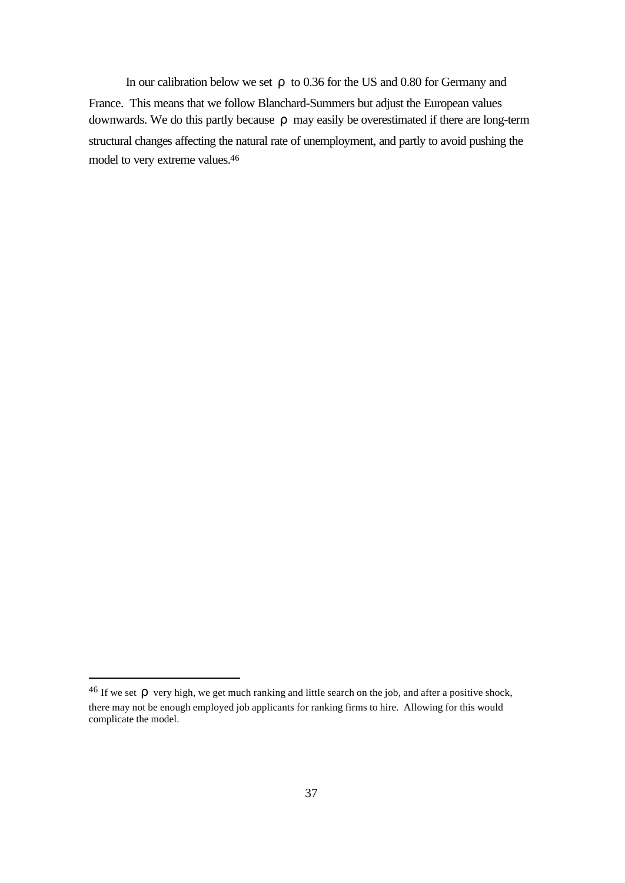In our calibration below we set *r* to 0.36 for the US and 0.80 for Germany and France. This means that we follow Blanchard-Summers but adjust the European values downwards. We do this partly because *r* may easily be overestimated if there are long-term structural changes affecting the natural rate of unemployment, and partly to avoid pushing the model to very extreme values.<sup>46</sup>

<sup>&</sup>lt;sup>46</sup> If we set  $\boldsymbol{r}$  very high, we get much ranking and little search on the job, and after a positive shock, there may not be enough employed job applicants for ranking firms to hire. Allowing for this would complicate the model.